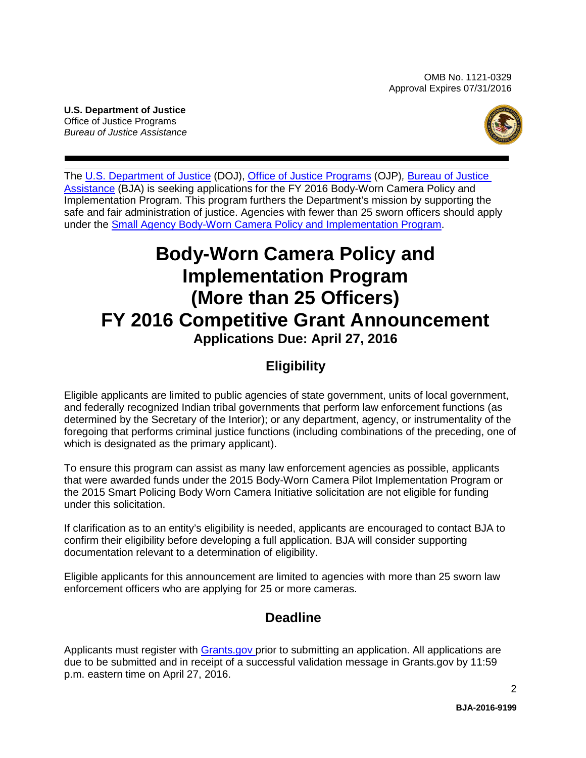OMB No. 1121-0329 Approval Expires 07/31/2016

<span id="page-0-0"></span>**U.S. Department of Justice** Office of Justice Programs *Bureau of Justice Assistance*



The [U.S. Department of Justice](http://www.justice.gov/) (DOJ), [Office of Justice Programs](http://www.ojp.gov/) (OJP)*,* [Bureau of](https://www.bja.gov/) Justice [Assistance](https://www.bja.gov/) (BJA) is seeking applications for the FY 2016 Body-Worn Camera Policy and Implementation Program. This program furthers the Department's mission by supporting the safe and fair administration of justice. Agencies with fewer than 25 sworn officers should apply under the [Small Agency Body-Worn Camera Policy and Implementation Program.](https://www.bja.gov/BWCSmallAgency16)

# **Body-Worn Camera Policy and Implementation Program (More than 25 Officers) FY 2016 Competitive Grant Announcement Applications Due: April 27, 2016**

# **Eligibility**

Eligible applicants are limited to public agencies of state government, units of local government, and federally recognized Indian tribal governments that perform law enforcement functions (as determined by the Secretary of the Interior); or any department, agency, or instrumentality of the foregoing that performs criminal justice functions (including combinations of the preceding, one of which is designated as the primary applicant).

To ensure this program can assist as many law enforcement agencies as possible, applicants that were awarded funds under the 2015 Body-Worn Camera Pilot Implementation Program or the 2015 Smart Policing Body Worn Camera Initiative solicitation are not eligible for funding under this solicitation.

If clarification as to an entity's eligibility is needed, applicants are encouraged to contact BJA to confirm their eligibility before developing a full application. BJA will consider supporting documentation relevant to a determination of eligibility.

Eligible applicants for this announcement are limited to agencies with more than 25 sworn law enforcement officers who are applying for 25 or more cameras.

# **Deadline**

Applicants must register with **Grants.gov** prior to submitting an application. All applications are due to be submitted and in receipt of a successful validation message in Grants.gov by 11:59 p.m. eastern time on April 27, 2016.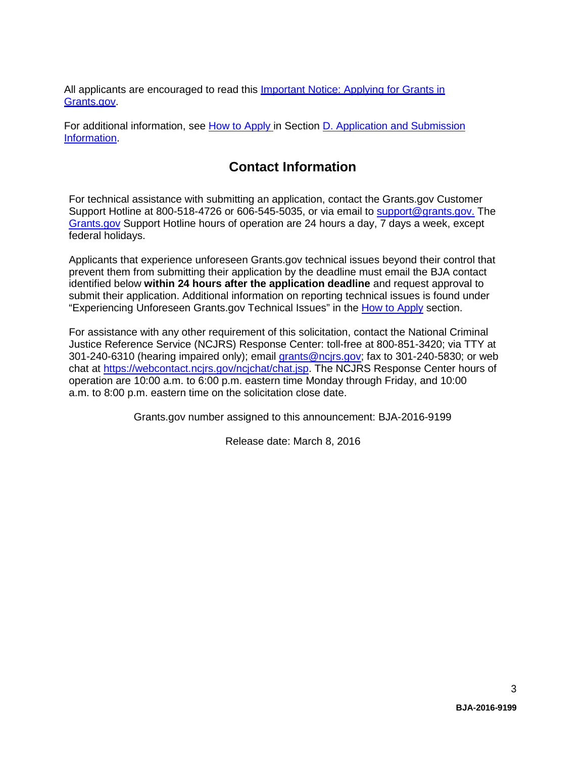All applicants are encouraged to read this **Important Notice: Applying for Grants in** [Grants.gov.](http://ojp.gov/funding/Apply/Grants-govInfo.htm)

For additional information, see How to Apply in Section D. Application and Submission Information.

# **Contact Information**

For technical assistance with submitting an application, contact the Grants.gov Customer Support Hotline at 800-518-4726 or 606-545-5035, or via email to [support@grants.gov.](mailto:support@grants.gov) The [Grants.gov](http://www.grants.gov/applicants/apply_for_grants.jsp) Support Hotline hours of operation are 24 hours a day, 7 days a week, except federal holidays.

Applicants that experience unforeseen Grants.gov technical issues beyond their control that prevent them from submitting their application by the deadline must email the BJA contact identified below **within 24 hours after the application deadline** and request approval to submit their application. Additional information on reporting technical issues is found under "Experiencing Unforeseen Grants.gov Technical Issues" in the [How to Apply](#page-20-0) section.

For assistance with any other requirement of this solicitation, contact the National Criminal Justice Reference Service (NCJRS) Response Center: toll-free at 800-851-3420; via TTY at 301-240-6310 (hearing impaired only); email grants@ncirs.gov; fax to 301-240-5830; or web chat at [https://webcontact.ncjrs.gov/ncjchat/chat.jsp.](https://webcontact.ncjrs.gov/ncjchat/chat.jsp) The NCJRS Response Center hours of operation are 10:00 a.m. to 6:00 p.m. eastern time Monday through Friday, and 10:00 a.m. to 8:00 p.m. eastern time on the solicitation close date.

Grants.gov number assigned to this announcement: BJA-2016-9199

Release date: March 8, 2016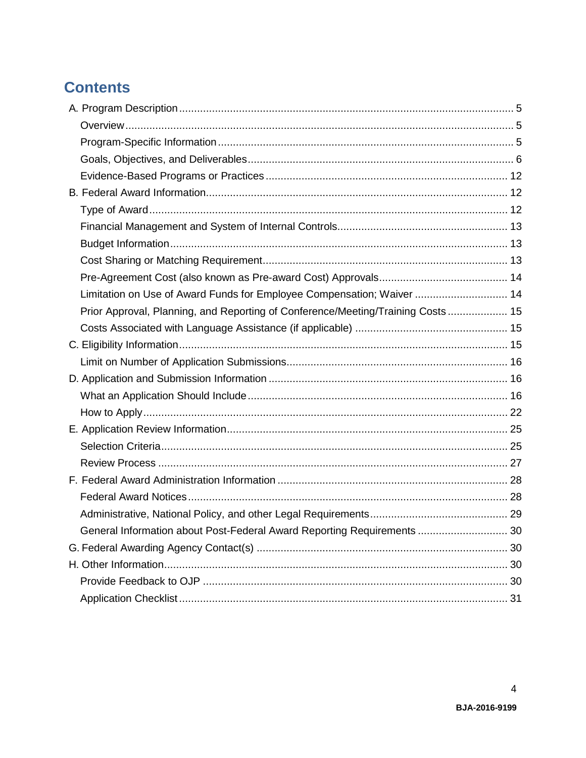# **Contents**

| Limitation on Use of Award Funds for Employee Compensation; Waiver  14          |  |
|---------------------------------------------------------------------------------|--|
| Prior Approval, Planning, and Reporting of Conference/Meeting/Training Costs 15 |  |
|                                                                                 |  |
|                                                                                 |  |
|                                                                                 |  |
|                                                                                 |  |
|                                                                                 |  |
|                                                                                 |  |
|                                                                                 |  |
|                                                                                 |  |
|                                                                                 |  |
|                                                                                 |  |
|                                                                                 |  |
|                                                                                 |  |
| General Information about Post-Federal Award Reporting Requirements  30         |  |
|                                                                                 |  |
|                                                                                 |  |
|                                                                                 |  |
|                                                                                 |  |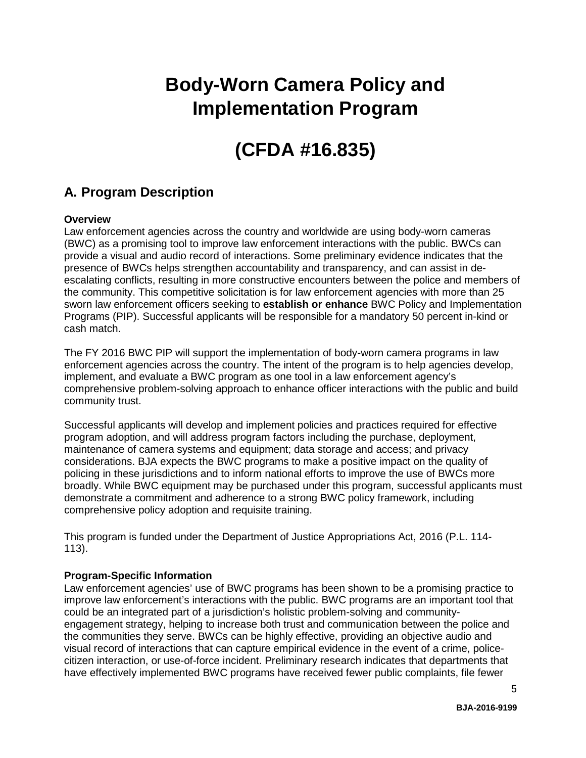# **Body-Worn Camera Policy and Implementation Program**

# **(CFDA #16.835)**

# <span id="page-3-0"></span>**A. Program Description**

# <span id="page-3-1"></span>**Overview**

Law enforcement agencies across the country and worldwide are using body-worn cameras (BWC) as a promising tool to improve law enforcement interactions with the public. BWCs can provide a visual and audio record of interactions. Some preliminary evidence indicates that the presence of BWCs helps strengthen accountability and transparency, and can assist in deescalating conflicts, resulting in more constructive encounters between the police and members of the community. This competitive solicitation is for law enforcement agencies with more than 25 sworn law enforcement officers seeking to **establish or enhance** BWC Policy and Implementation Programs (PIP). Successful applicants will be responsible for a mandatory 50 percent in-kind or cash match.

The FY 2016 BWC PIP will support the implementation of body-worn camera programs in law enforcement agencies across the country. The intent of the program is to help agencies develop, implement, and evaluate a BWC program as one tool in a law enforcement agency's comprehensive problem-solving approach to enhance officer interactions with the public and build community trust.

Successful applicants will develop and implement policies and practices required for effective program adoption, and will address program factors including the purchase, deployment, maintenance of camera systems and equipment; data storage and access; and privacy considerations. BJA expects the BWC programs to make a positive impact on the quality of policing in these jurisdictions and to inform national efforts to improve the use of BWCs more broadly. While BWC equipment may be purchased under this program, successful applicants must demonstrate a commitment and adherence to a strong BWC policy framework, including comprehensive policy adoption and requisite training.

This program is funded under the Department of Justice Appropriations Act, 2016 (P.L. 114- 113).

# <span id="page-3-2"></span>**Program-Specific Information**

Law enforcement agencies' use of BWC programs has been shown to be a promising practice to improve law enforcement's interactions with the public. BWC programs are an important tool that could be an integrated part of a jurisdiction's holistic problem-solving and communityengagement strategy, helping to increase both trust and communication between the police and the communities they serve. BWCs can be highly effective, providing an objective audio and visual record of interactions that can capture empirical evidence in the event of a crime, policecitizen interaction, or use-of-force incident. Preliminary research indicates that departments that have effectively implemented BWC programs have received fewer public complaints, file fewer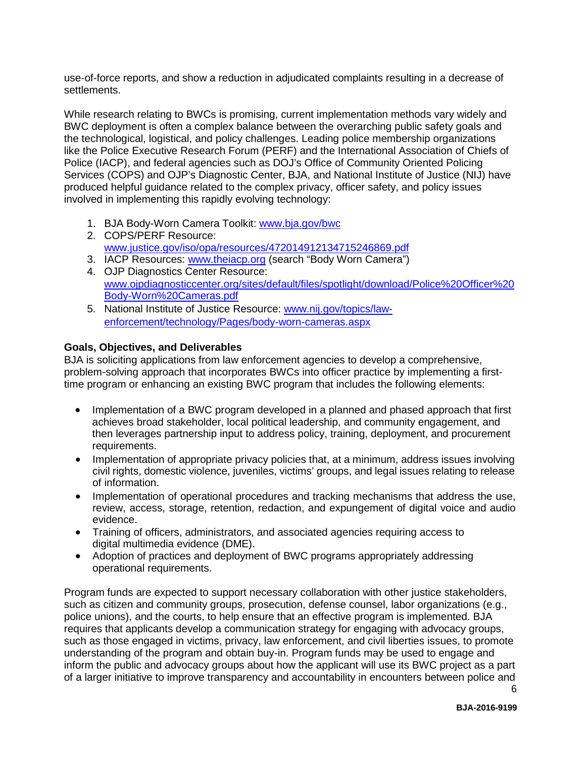use-of-force reports, and show a reduction in adjudicated complaints resulting in a decrease of settlements.

While research relating to BWCs is promising, current implementation methods vary widely and BWC deployment is often a complex balance between the overarching public safety goals and the technological, logistical, and policy challenges. Leading police membership organizations like the Police Executive Research Forum (PERF) and the International Association of Chiefs of Police (IACP), and federal agencies such as DOJ's Office of Community Oriented Policing Services (COPS) and OJP's Diagnostic Center, BJA, and National Institute of Justice (NIJ) have produced helpful guidance related to the complex privacy, officer safety, and policy issues involved in implementing this rapidly evolving technology:

- 1. BJA Body-Worn Camera Toolkit: [www.bja.gov/bwc](http://www.bja.gov/bwc)
- 2. COPS/PERF Resource: [www.justice.gov/iso/opa/resources/472014912134715246869.pdf](http://www.justice.gov/iso/opa/resources/472014912134715246869.pdf)
- 3. IACP Resources: [www.theiacp.org](http://www.theiacp.org/) (search "Body Worn Camera")
- 4. OJP Diagnostics Center Resource: [www.ojpdiagnosticcenter.org/sites/default/files/spotlight/download/Police%20Officer%20](http://www.ojpdiagnosticcenter.org/sites/default/files/spotlight/download/Police%20Officer%20Body-Worn%20Cameras.pdf) [Body-Worn%20Cameras.pdf](http://www.ojpdiagnosticcenter.org/sites/default/files/spotlight/download/Police%20Officer%20Body-Worn%20Cameras.pdf)
- 5. National Institute of Justice Resource: [www.nij.gov/topics/law](http://www.nij.gov/topics/law-enforcement/technology/Pages/body-worn-cameras.aspx)[enforcement/technology/Pages/body-worn-cameras.aspx](http://www.nij.gov/topics/law-enforcement/technology/Pages/body-worn-cameras.aspx)

#### <span id="page-4-0"></span>**Goals, Objectives, and Deliverables**

BJA is soliciting applications from law enforcement agencies to develop a comprehensive, problem-solving approach that incorporates BWCs into officer practice by implementing a firsttime program or enhancing an existing BWC program that includes the following elements:

- Implementation of a BWC program developed in a planned and phased approach that first achieves broad stakeholder, local political leadership, and community engagement, and then leverages partnership input to address policy, training, deployment, and procurement requirements.
- Implementation of appropriate privacy policies that, at a minimum, address issues involving civil rights, domestic violence, juveniles, victims' groups, and legal issues relating to release of information.
- Implementation of operational procedures and tracking mechanisms that address the use, review, access, storage, retention, redaction, and expungement of digital voice and audio evidence.
- Training of officers, administrators, and associated agencies requiring access to digital multimedia evidence (DME).
- Adoption of practices and deployment of BWC programs appropriately addressing operational requirements.

Program funds are expected to support necessary collaboration with other justice stakeholders, such as citizen and community groups, prosecution, defense counsel, labor organizations (e.g., police unions), and the courts, to help ensure that an effective program is implemented. BJA requires that applicants develop a communication strategy for engaging with advocacy groups, such as those engaged in victims, privacy, law enforcement, and civil liberties issues, to promote understanding of the program and obtain buy-in. Program funds may be used to engage and inform the public and advocacy groups about how the applicant will use its BWC project as a part of a larger initiative to improve transparency and accountability in encounters between police and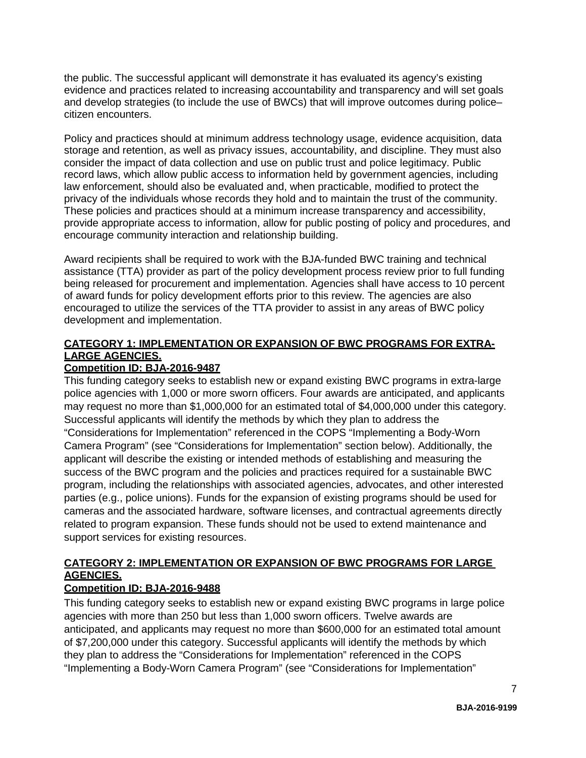the public. The successful applicant will demonstrate it has evaluated its agency's existing evidence and practices related to increasing accountability and transparency and will set goals and develop strategies (to include the use of BWCs) that will improve outcomes during police– citizen encounters.

Policy and practices should at minimum address technology usage, evidence acquisition, data storage and retention, as well as privacy issues, accountability, and discipline. They must also consider the impact of data collection and use on public trust and police legitimacy. Public record laws, which allow public access to information held by government agencies, including law enforcement, should also be evaluated and, when practicable, modified to protect the privacy of the individuals whose records they hold and to maintain the trust of the community. These policies and practices should at a minimum increase transparency and accessibility, provide appropriate access to information, allow for public posting of policy and procedures, and encourage community interaction and relationship building.

Award recipients shall be required to work with the BJA-funded BWC training and technical assistance (TTA) provider as part of the policy development process review prior to full funding being released for procurement and implementation. Agencies shall have access to 10 percent of award funds for policy development efforts prior to this review. The agencies are also encouraged to utilize the services of the TTA provider to assist in any areas of BWC policy development and implementation.

# **CATEGORY 1: IMPLEMENTATION OR EXPANSION OF BWC PROGRAMS FOR EXTRA-LARGE AGENCIES.**

# **Competition ID: BJA-2016-9487**

This funding category seeks to establish new or expand existing BWC programs in extra-large police agencies with 1,000 or more sworn officers. Four awards are anticipated, and applicants may request no more than \$1,000,000 for an estimated total of \$4,000,000 under this category. Successful applicants will identify the methods by which they plan to address the "Considerations for Implementation" referenced in the COPS "Implementing a Body-Worn Camera Program" (see "Considerations for Implementation" section below). Additionally, the applicant will describe the existing or intended methods of establishing and measuring the success of the BWC program and the policies and practices required for a sustainable BWC program, including the relationships with associated agencies, advocates, and other interested parties (e.g., police unions). Funds for the expansion of existing programs should be used for cameras and the associated hardware, software licenses, and contractual agreements directly related to program expansion. These funds should not be used to extend maintenance and support services for existing resources.

# **CATEGORY 2: IMPLEMENTATION OR EXPANSION OF BWC PROGRAMS FOR LARGE AGENCIES.**

# **Competition ID: BJA-2016-9488**

This funding category seeks to establish new or expand existing BWC programs in large police agencies with more than 250 but less than 1,000 sworn officers. Twelve awards are anticipated, and applicants may request no more than \$600,000 for an estimated total amount of \$7,200,000 under this category. Successful applicants will identify the methods by which they plan to address the "Considerations for Implementation" referenced in the COPS "Implementing a Body-Worn Camera Program" (see "Considerations for Implementation"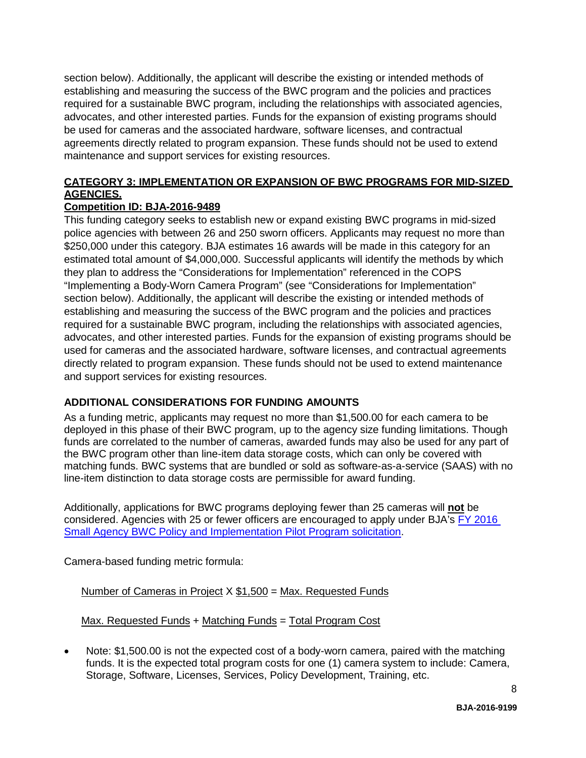section below). Additionally, the applicant will describe the existing or intended methods of establishing and measuring the success of the BWC program and the policies and practices required for a sustainable BWC program, including the relationships with associated agencies, advocates, and other interested parties. Funds for the expansion of existing programs should be used for cameras and the associated hardware, software licenses, and contractual agreements directly related to program expansion. These funds should not be used to extend maintenance and support services for existing resources.

# **CATEGORY 3: IMPLEMENTATION OR EXPANSION OF BWC PROGRAMS FOR MID-SIZED AGENCIES.**

# **Competition ID: BJA-2016-9489**

This funding category seeks to establish new or expand existing BWC programs in mid-sized police agencies with between 26 and 250 sworn officers. Applicants may request no more than \$250,000 under this category. BJA estimates 16 awards will be made in this category for an estimated total amount of \$4,000,000. Successful applicants will identify the methods by which they plan to address the "Considerations for Implementation" referenced in the COPS "Implementing a Body-Worn Camera Program" (see "Considerations for Implementation" section below). Additionally, the applicant will describe the existing or intended methods of establishing and measuring the success of the BWC program and the policies and practices required for a sustainable BWC program, including the relationships with associated agencies, advocates, and other interested parties. Funds for the expansion of existing programs should be used for cameras and the associated hardware, software licenses, and contractual agreements directly related to program expansion. These funds should not be used to extend maintenance and support services for existing resources.

# **ADDITIONAL CONSIDERATIONS FOR FUNDING AMOUNTS**

As a funding metric, applicants may request no more than \$1,500.00 for each camera to be deployed in this phase of their BWC program, up to the agency size funding limitations. Though funds are correlated to the number of cameras, awarded funds may also be used for any part of the BWC program other than line-item data storage costs, which can only be covered with matching funds. BWC systems that are bundled or sold as software-as-a-service (SAAS) with no line-item distinction to data storage costs are permissible for award funding.

Additionally, applications for BWC programs deploying fewer than 25 cameras will **not** be considered. Agencies with 25 or fewer officers are encouraged to apply under BJA's [FY 2016](https://www.bja.gov/BWCSmallAgency16)  [Small Agency BWC Policy and Implementation Pilot Program solicitation.](https://www.bja.gov/BWCSmallAgency16)

Camera-based funding metric formula:

Number of Cameras in Project  $X $1,500 = Max$ . Requested Funds

Max. Requested Funds + Matching Funds = Total Program Cost

• Note: \$1,500.00 is not the expected cost of a body-worn camera, paired with the matching funds. It is the expected total program costs for one (1) camera system to include: Camera, Storage, Software, Licenses, Services, Policy Development, Training, etc.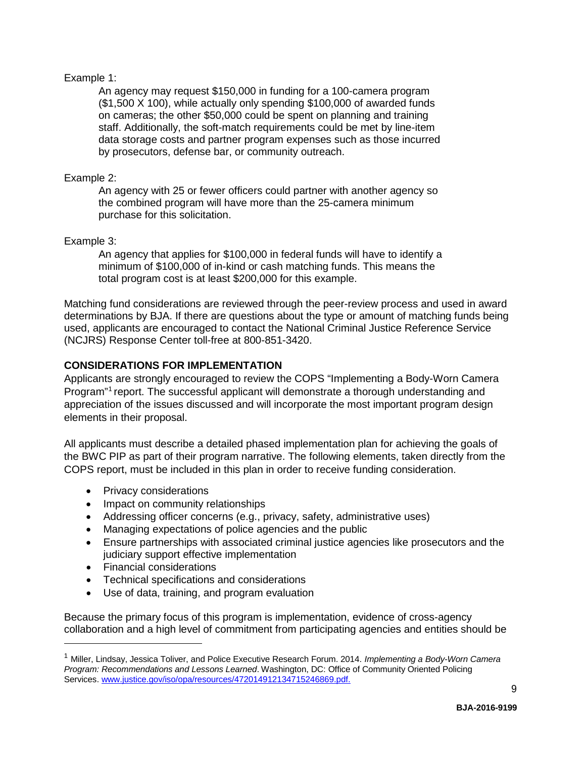# Example 1:

An agency may request \$150,000 in funding for a 100-camera program (\$1,500 X 100), while actually only spending \$100,000 of awarded funds on cameras; the other \$50,000 could be spent on planning and training staff. Additionally, the soft-match requirements could be met by line-item data storage costs and partner program expenses such as those incurred by prosecutors, defense bar, or community outreach.

# Example 2:

An agency with 25 or fewer officers could partner with another agency so the combined program will have more than the 25-camera minimum purchase for this solicitation.

# Example 3:

An agency that applies for \$100,000 in federal funds will have to identify a minimum of \$100,000 of in-kind or cash matching funds. This means the total program cost is at least \$200,000 for this example.

Matching fund considerations are reviewed through the peer-review process and used in award determinations by BJA. If there are questions about the type or amount of matching funds being used, applicants are encouraged to contact the National Criminal Justice Reference Service (NCJRS) Response Center toll-free at 800-851-3420.

# **CONSIDERATIONS FOR IMPLEMENTATION**

Applicants are strongly encouraged to review the COPS "Implementing a Body-Worn Camera Program<sup>"[1](#page-7-0)</sup> report. The successful applicant will demonstrate a thorough understanding and appreciation of the issues discussed and will incorporate the most important program design elements in their proposal.

All applicants must describe a detailed phased implementation plan for achieving the goals of the BWC PIP as part of their program narrative. The following elements, taken directly from the COPS report, must be included in this plan in order to receive funding consideration.

- Privacy considerations
- Impact on community relationships
- Addressing officer concerns (e.g., privacy, safety, administrative uses)
- Managing expectations of police agencies and the public
- Ensure partnerships with associated criminal justice agencies like prosecutors and the judiciary support effective implementation
- Financial considerations

<u>.</u>

- Technical specifications and considerations
- Use of data, training, and program evaluation

Because the primary focus of this program is implementation, evidence of cross-agency collaboration and a high level of commitment from participating agencies and entities should be

<span id="page-7-0"></span><sup>1</sup> Miller, Lindsay, Jessica Toliver, and Police Executive Research Forum. 2014. *Implementing a Body-Worn Camera Program: Recommendations and Lessons Learned*. Washington, DC: Office of Community Oriented Policing Services. [www.justice.gov/iso/opa/resources/472014912134715246869.pdf.](http://www.justice.gov/iso/opa/resources/472014912134715246869.pdf)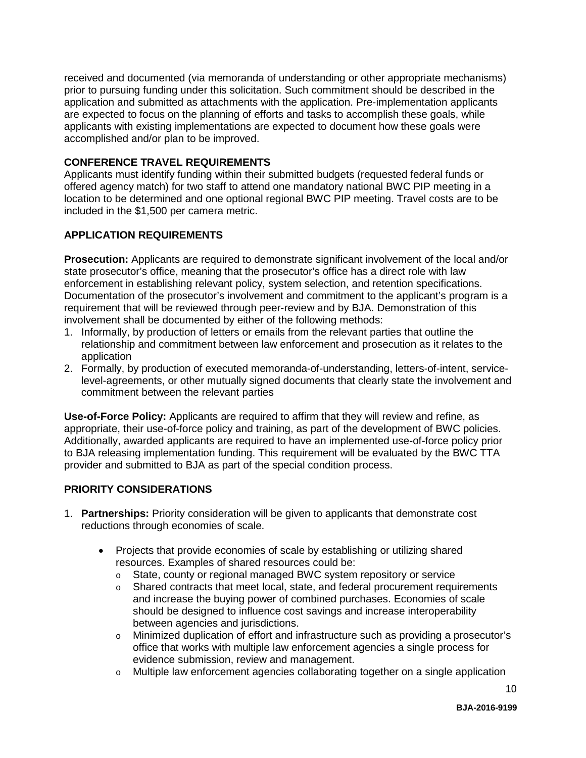received and documented (via memoranda of understanding or other appropriate mechanisms) prior to pursuing funding under this solicitation. Such commitment should be described in the application and submitted as attachments with the application. Pre-implementation applicants are expected to focus on the planning of efforts and tasks to accomplish these goals, while applicants with existing implementations are expected to document how these goals were accomplished and/or plan to be improved.

# **CONFERENCE TRAVEL REQUIREMENTS**

Applicants must identify funding within their submitted budgets (requested federal funds or offered agency match) for two staff to attend one mandatory national BWC PIP meeting in a location to be determined and one optional regional BWC PIP meeting. Travel costs are to be included in the \$1,500 per camera metric.

# **APPLICATION REQUIREMENTS**

**Prosecution:** Applicants are required to demonstrate significant involvement of the local and/or state prosecutor's office, meaning that the prosecutor's office has a direct role with law enforcement in establishing relevant policy, system selection, and retention specifications. Documentation of the prosecutor's involvement and commitment to the applicant's program is a requirement that will be reviewed through peer-review and by BJA. Demonstration of this involvement shall be documented by either of the following methods:

- 1. Informally, by production of letters or emails from the relevant parties that outline the relationship and commitment between law enforcement and prosecution as it relates to the application
- 2. Formally, by production of executed memoranda-of-understanding, letters-of-intent, servicelevel-agreements, or other mutually signed documents that clearly state the involvement and commitment between the relevant parties

**Use-of-Force Policy:** Applicants are required to affirm that they will review and refine, as appropriate, their use-of-force policy and training, as part of the development of BWC policies. Additionally, awarded applicants are required to have an implemented use-of-force policy prior to BJA releasing implementation funding. This requirement will be evaluated by the BWC TTA provider and submitted to BJA as part of the special condition process.

# **PRIORITY CONSIDERATIONS**

- 1. **Partnerships:** Priority consideration will be given to applicants that demonstrate cost reductions through economies of scale.
	- Projects that provide economies of scale by establishing or utilizing shared resources. Examples of shared resources could be:
		- o State, county or regional managed BWC system repository or service
		- o Shared contracts that meet local, state, and federal procurement requirements and increase the buying power of combined purchases. Economies of scale should be designed to influence cost savings and increase interoperability between agencies and jurisdictions.
		- o Minimized duplication of effort and infrastructure such as providing a prosecutor's office that works with multiple law enforcement agencies a single process for evidence submission, review and management.
		- o Multiple law enforcement agencies collaborating together on a single application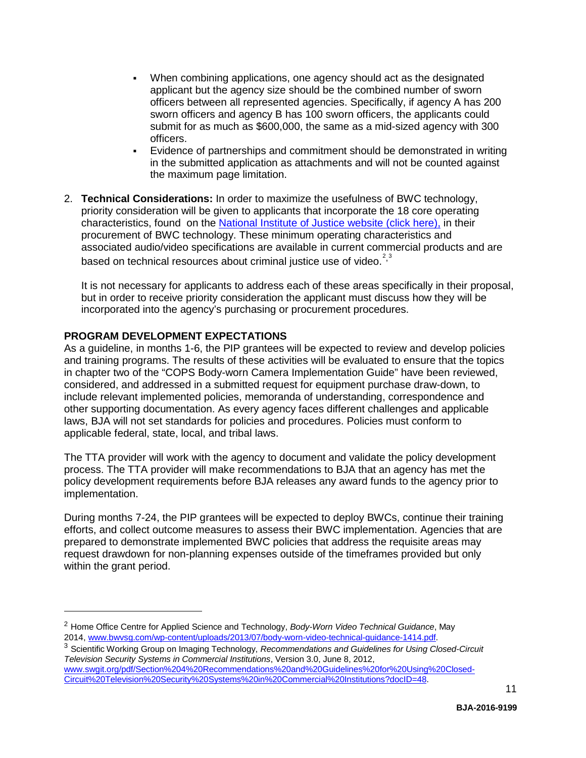- When combining applications, one agency should act as the designated applicant but the agency size should be the combined number of sworn officers between all represented agencies. Specifically, if agency A has 200 sworn officers and agency B has 100 sworn officers, the applicants could submit for as much as \$600,000, the same as a mid-sized agency with 300 officers.
- Evidence of partnerships and commitment should be demonstrated in writing in the submitted application as attachments and will not be counted against the maximum page limitation.
- 2. **Technical Considerations:** In order to maximize the usefulness of BWC technology, priority consideration will be given to applicants that incorporate the 18 core operating characteristics, found on the [National Institute of Justice website \(click here\),](http://www.nij.gov/topics/law-enforcement/exhibits/Pages/body-worn-camera-operating-characteristics.aspx) in their procurement of BWC technology. These minimum operating characteristics and associated audio/video specifications are available in current commercial products and are based on technical resources about criminal justice use of video. $2^3$  $2^3$  $2^3$

It is not necessary for applicants to address each of these areas specifically in their proposal, but in order to receive priority consideration the applicant must discuss how they will be incorporated into the agency's purchasing or procurement procedures.

#### **PROGRAM DEVELOPMENT EXPECTATIONS**

<span id="page-9-0"></span>-

As a guideline, in months 1-6, the PIP grantees will be expected to review and develop policies and training programs. The results of these activities will be evaluated to ensure that the topics in chapter two of the "COPS Body-worn Camera Implementation Guide" have been reviewed, considered, and addressed in a submitted request for equipment purchase draw-down, to include relevant implemented policies, memoranda of understanding, correspondence and other supporting documentation. As every agency faces different challenges and applicable laws, BJA will not set standards for policies and procedures. Policies must conform to applicable federal, state, local, and tribal laws.

The TTA provider will work with the agency to document and validate the policy development process. The TTA provider will make recommendations to BJA that an agency has met the policy development requirements before BJA releases any award funds to the agency prior to implementation.

During months 7-24, the PIP grantees will be expected to deploy BWCs, continue their training efforts, and collect outcome measures to assess their BWC implementation. Agencies that are prepared to demonstrate implemented BWC policies that address the requisite areas may request drawdown for non-planning expenses outside of the timeframes provided but only within the grant period.

<span id="page-9-1"></span><sup>2</sup> Home Office Centre for Applied Science and Technology, *Body-Worn Video Technical Guidance*, May 2014, [www.bwvsg.com/wp-content/uploads/2013/07/body-worn-video-technical-guidance-1414.pdf.](http://www.bwvsg.com/wp-content/uploads/2013/07/body-worn-video-technical-guidance-1414.pdf)

<span id="page-9-2"></span><sup>3</sup> Scientific Working Group on Imaging Technology, *Recommendations and Guidelines for Using Closed-Circuit Television Security Systems in Commercial Institutions*, Version 3.0, June 8, 2012,

[www.swgit.org/pdf/Section%204%20Recommendations%20and%20Guidelines%20for%20Using%20Closed-](https://www.swgit.org/pdf/Section%204%20Recommendations%20and%20Guidelines%20for%20Using%20Closed-Circuit%20Television%20Security%20Systems%20in%20Commercial%20Institutions?docID=48)[Circuit%20Television%20Security%20Systems%20in%20Commercial%20Institutions?docID=48.](https://www.swgit.org/pdf/Section%204%20Recommendations%20and%20Guidelines%20for%20Using%20Closed-Circuit%20Television%20Security%20Systems%20in%20Commercial%20Institutions?docID=48)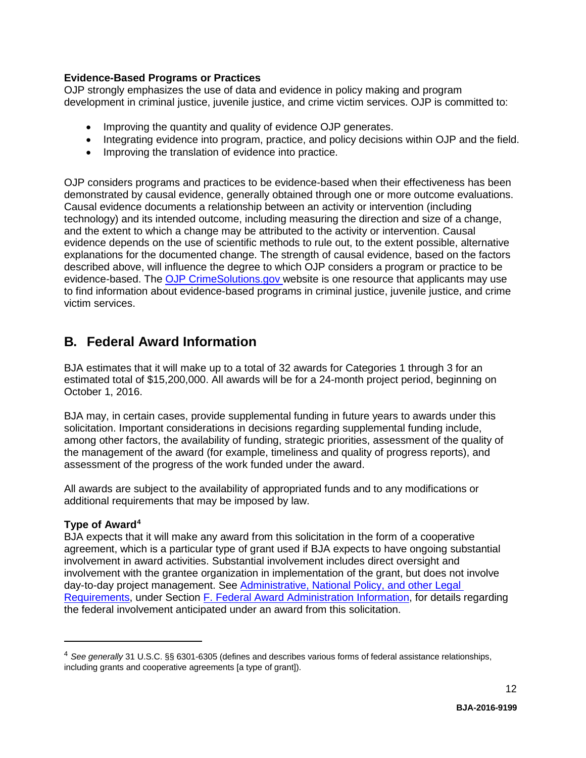# **Evidence-Based Programs or Practices**

OJP strongly emphasizes the use of data and evidence in policy making and program development in criminal justice, juvenile justice, and crime victim services. OJP is committed to:

- Improving the quantity and quality of evidence OJP generates.
- Integrating evidence into program, practice, and policy decisions within OJP and the field.
- Improving the translation of evidence into practice.

OJP considers programs and practices to be evidence-based when their effectiveness has been demonstrated by causal evidence, generally obtained through one or more outcome evaluations. Causal evidence documents a relationship between an activity or intervention (including technology) and its intended outcome, including measuring the direction and size of a change, and the extent to which a change may be attributed to the activity or intervention. Causal evidence depends on the use of scientific methods to rule out, to the extent possible, alternative explanations for the documented change. The strength of causal evidence, based on the factors described above, will influence the degree to which OJP considers a program or practice to be evidence-based. The [OJP CrimeSolutions.gov w](http://www.crimesolutions.gov/)ebsite is one resource that applicants may use to find information about evidence-based programs in criminal justice, juvenile justice, and crime victim services.

# <span id="page-10-0"></span>**B. Federal Award Information**

BJA estimates that it will make up to a total of 32 awards for Categories 1 through 3 for an estimated total of \$15,200,000. All awards will be for a 24-month project period, beginning on October 1, 2016.

BJA may, in certain cases, provide supplemental funding in future years to awards under this solicitation. Important considerations in decisions regarding supplemental funding include, among other factors, the availability of funding, strategic priorities, assessment of the quality of the management of the award (for example, timeliness and quality of progress reports), and assessment of the progress of the work funded under the award.

All awards are subject to the availability of appropriated funds and to any modifications or additional requirements that may be imposed by law.

# <span id="page-10-1"></span>**Type of Award[4](#page-10-2)**

<u>.</u>

BJA expects that it will make any award from this solicitation in the form of a cooperative agreement, which is a particular type of grant used if BJA expects to have ongoing substantial involvement in award activities. Substantial involvement includes direct oversight and involvement with the grantee organization in implementation of the grant, but does not involve day-to-day project management. See [Administrative, National Policy, and other Legal](#page-27-0) [Requirements,](#page-27-0) under Section [F. Federal Award Administration Information,](#page-26-0) for details regarding the federal involvement anticipated under an award from this solicitation.

<span id="page-10-2"></span><sup>4</sup> *See generally* 31 U.S.C. §§ 6301-6305 (defines and describes various forms of federal assistance relationships, including grants and cooperative agreements [a type of grant]).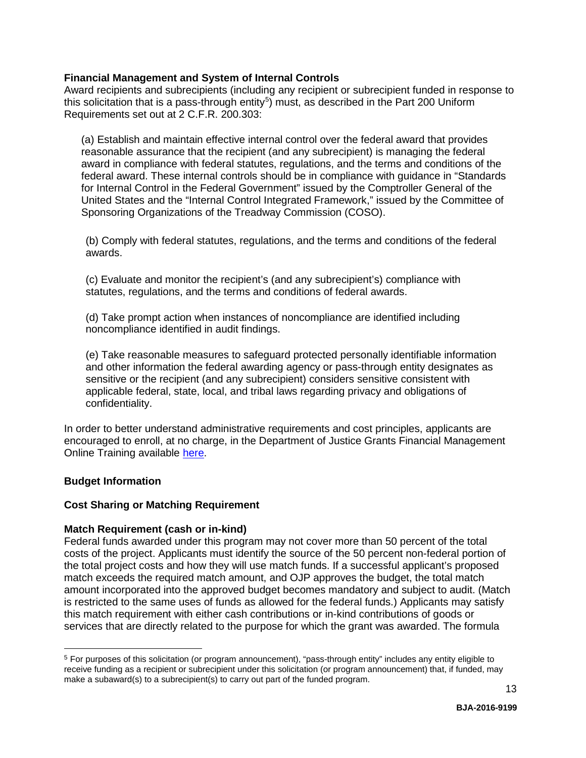#### <span id="page-11-0"></span>**Financial Management and System of Internal Controls**

Award recipients and subrecipients (including any recipient or subrecipient funded in response to this solicitation that is a pass-through entity<sup>[5](#page-11-3)</sup>) must, as described in the Part 200 Uniform Requirements set out at 2 C.F.R. 200.303:

(a) Establish and maintain effective internal control over the federal award that provides reasonable assurance that the recipient (and any subrecipient) is managing the federal award in compliance with federal statutes, regulations, and the terms and conditions of the federal award. These internal controls should be in compliance with guidance in "Standards for Internal Control in the Federal Government" issued by the Comptroller General of the United States and the "Internal Control Integrated Framework," issued by the Committee of Sponsoring Organizations of the Treadway Commission (COSO).

(b) Comply with federal statutes, regulations, and the terms and conditions of the federal awards.

(c) Evaluate and monitor the recipient's (and any subrecipient's) compliance with statutes, regulations, and the terms and conditions of federal awards.

(d) Take prompt action when instances of noncompliance are identified including noncompliance identified in audit findings.

(e) Take reasonable measures to safeguard protected personally identifiable information and other information the federal awarding agency or pass-through entity designates as sensitive or the recipient (and any subrecipient) considers sensitive consistent with applicable federal, state, local, and tribal laws regarding privacy and obligations of confidentiality.

In order to better understand administrative requirements and cost principles, applicants are encouraged to enroll, at no charge, in the Department of Justice Grants Financial Management Online Training available [here.](http://gfm.webfirst.com/)

# <span id="page-11-2"></span><span id="page-11-1"></span>**Budget Information**

<u>.</u>

#### **Cost Sharing or Matching Requirement**

#### **Match Requirement (cash or in-kind)**

Federal funds awarded under this program may not cover more than 50 percent of the total costs of the project. Applicants must identify the source of the 50 percent non-federal portion of the total project costs and how they will use match funds. If a successful applicant's proposed match exceeds the required match amount, and OJP approves the budget, the total match amount incorporated into the approved budget becomes mandatory and subject to audit. (Match is restricted to the same uses of funds as allowed for the federal funds.) Applicants may satisfy this match requirement with either cash contributions or in-kind contributions of goods or services that are directly related to the purpose for which the grant was awarded. The formula

<span id="page-11-3"></span><sup>5</sup> For purposes of this solicitation (or program announcement), "pass-through entity" includes any entity eligible to receive funding as a recipient or subrecipient under this solicitation (or program announcement) that, if funded, may make a subaward(s) to a subrecipient(s) to carry out part of the funded program.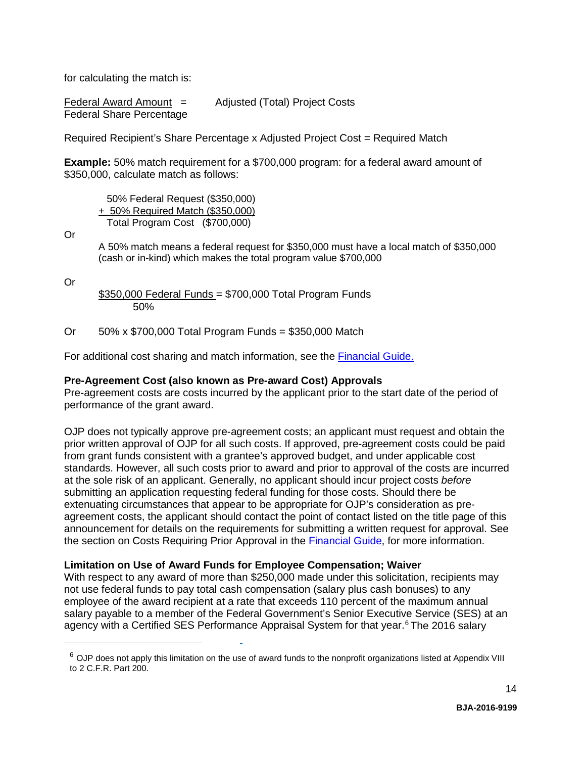for calculating the match is:

Federal Award Amount  $=$  Adjusted (Total) Project Costs Federal Share Percentage

Required Recipient's Share Percentage x Adjusted Project Cost = Required Match

**Example:** 50% match requirement for a \$700,000 program: for a federal award amount of \$350,000, calculate match as follows:

 50% Federal Request (\$350,000) + 50% Required Match (\$350,000) Total Program Cost (\$700,000)

Or

A 50% match means a federal request for \$350,000 must have a local match of \$350,000 (cash or in-kind) which makes the total program value \$700,000

Or

<span id="page-12-2"></span>-

 $$350,000$  Federal Funds = \$700,000 Total Program Funds 50%

Or 50% x \$700,000 Total Program Funds = \$350,000 Match

For additional cost sharing and match information, see the [Financial Guide.](http://ojp.gov/financialguide/DOJ/index.htm)

#### <span id="page-12-0"></span>**Pre-Agreement Cost (also known as Pre-award Cost) Approvals**

Pre-agreement costs are costs incurred by the applicant prior to the start date of the period of performance of the grant award.

OJP does not typically approve pre-agreement costs; an applicant must request and obtain the prior written approval of OJP for all such costs. If approved, pre-agreement costs could be paid from grant funds consistent with a grantee's approved budget, and under applicable cost standards. However, all such costs prior to award and prior to approval of the costs are incurred at the sole risk of an applicant. Generally, no applicant should incur project costs *before* submitting an application requesting federal funding for those costs. Should there be extenuating circumstances that appear to be appropriate for OJP's consideration as preagreement costs, the applicant should contact the point of contact listed on the title page of this announcement for details on the requirements for submitting a written request for approval. See the section on Costs Requiring Prior Approval in the [Financial Guide,](http://ojp.gov/financialguide/DOJ/index.htm) for more information.

#### <span id="page-12-1"></span>**Limitation on Use of Award Funds for Employee Compensation; Waiver**

With respect to any award of more than \$250,000 made under this solicitation, recipients may not use federal funds to pay total cash compensation (salary plus cash bonuses) to any employee of the award recipient at a rate that exceeds 110 percent of the maximum annual salary payable to a member of the Federal Government's Senior Executive Service (SES) at an agency with a Certified SES Performance Appraisal System for that year.<sup>[6](#page-12-2)</sup> The 2016 salary

 $6$  OJP does not apply this limitation on the use of award funds to the nonprofit organizations listed at Appendix VIII to 2 C.F.R. Part 200.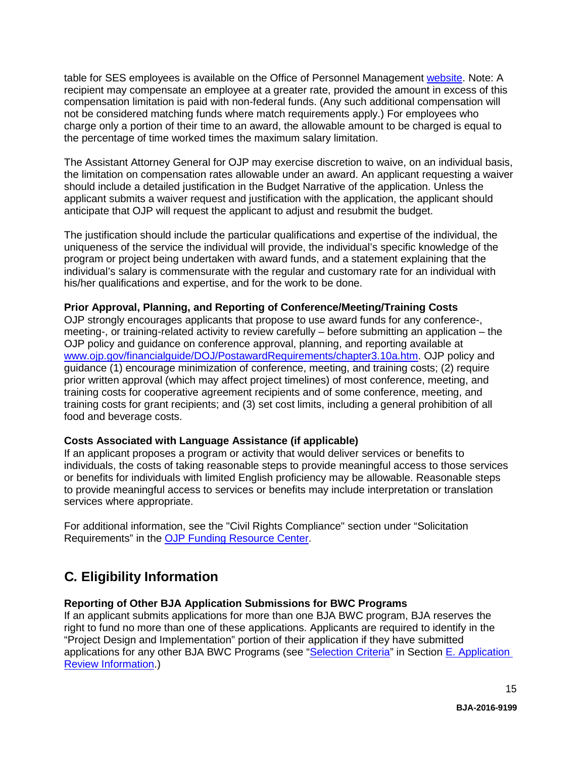table for SES employees is available on the Office of Personnel Management [website.](https://www.opm.gov/policy-data-oversight/pay-leave/salaries-wages/salary-tables/16Tables/exec/html/ES.aspx) Note: A recipient may compensate an employee at a greater rate, provided the amount in excess of this compensation limitation is paid with non-federal funds. (Any such additional compensation will not be considered matching funds where match requirements apply.) For employees who charge only a portion of their time to an award, the allowable amount to be charged is equal to the percentage of time worked times the maximum salary limitation.

The Assistant Attorney General for OJP may exercise discretion to waive, on an individual basis, the limitation on compensation rates allowable under an award. An applicant requesting a waiver should include a detailed justification in the Budget Narrative of the application. Unless the applicant submits a waiver request and justification with the application, the applicant should anticipate that OJP will request the applicant to adjust and resubmit the budget.

The justification should include the particular qualifications and expertise of the individual, the uniqueness of the service the individual will provide, the individual's specific knowledge of the program or project being undertaken with award funds, and a statement explaining that the individual's salary is commensurate with the regular and customary rate for an individual with his/her qualifications and expertise, and for the work to be done.

#### <span id="page-13-0"></span>**Prior Approval, Planning, and Reporting of Conference/Meeting/Training Costs**

OJP strongly encourages applicants that propose to use award funds for any conference-, meeting-, or training-related activity to review carefully – before submitting an application – the OJP policy and guidance on conference approval, planning, and reporting available at [www.ojp.gov/financialguide/DOJ/PostawardRequirements/chapter3.10a.htm.](http://www.ojp.gov/financialguide/DOJ/PostawardRequirements/chapter3.10a.htm) OJP policy and guidance (1) encourage minimization of conference, meeting, and training costs; (2) require prior written approval (which may affect project timelines) of most conference, meeting, and training costs for cooperative agreement recipients and of some conference, meeting, and training costs for grant recipients; and (3) set cost limits, including a general prohibition of all food and beverage costs.

#### <span id="page-13-1"></span>**Costs Associated with Language Assistance (if applicable)**

If an applicant proposes a program or activity that would deliver services or benefits to individuals, the costs of taking reasonable steps to provide meaningful access to those services or benefits for individuals with limited English proficiency may be allowable. Reasonable steps to provide meaningful access to services or benefits may include interpretation or translation services where appropriate.

For additional information, see the "Civil Rights Compliance" section under "Solicitation Requirements" in the [OJP Funding Resource Center.](http://ojp.gov/funding/index.htm)

# <span id="page-13-2"></span>**C. Eligibility Information**

# **Reporting of Other BJA Application Submissions for BWC Programs**

If an applicant submits applications for more than one BJA BWC program, BJA reserves the right to fund no more than one of these applications. Applicants are required to identify in the "Project Design and Implementation" portion of their application if they have submitted applications for any other BJA BWC Programs (see ["Selection Criteria"](#page-23-1) in Section E. Application [Review Information.](#page-23-0))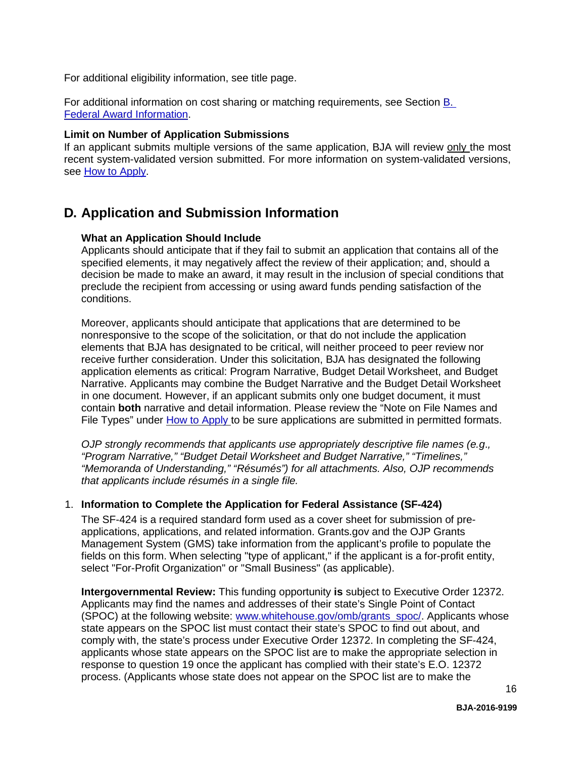For additional eligibility information, see title page.

For additional information on cost sharing or matching requirements, see Section [B.](#page-10-0)  Federal [Award Information.](#page-10-0)

#### <span id="page-14-0"></span>**Limit on Number of Application Submissions**

If an applicant submits multiple versions of the same application, BJA will review only the most recent system-validated version submitted. For more information on system-validated versions, see [How to Apply.](#page-20-0)

# <span id="page-14-2"></span><span id="page-14-1"></span>**D. Application and Submission Information**

#### **What an Application Should Include**

Applicants should anticipate that if they fail to submit an application that contains all of the specified elements, it may negatively affect the review of their application; and, should a decision be made to make an award, it may result in the inclusion of special conditions that preclude the recipient from accessing or using award funds pending satisfaction of the conditions.

Moreover, applicants should anticipate that applications that are determined to be nonresponsive to the scope of the solicitation, or that do not include the application elements that BJA has designated to be critical, will neither proceed to peer review nor receive further consideration. Under this solicitation, BJA has designated the following application elements as critical: Program Narrative, Budget Detail Worksheet, and Budget Narrative. Applicants may combine the Budget Narrative and the Budget Detail Worksheet in one document. However, if an applicant submits only one budget document, it must contain **both** narrative and detail information. Please review the "Note on File Names and File Types" under [How to Apply t](#page-20-0)o be sure applications are submitted in permitted formats.

*OJP strongly recommends that applicants use appropriately descriptive file names (e.g*.*, "Program Narrative," "Budget Detail Worksheet and Budget Narrative," "Timelines," "Memoranda of Understanding," "Résumés") for all attachments. Also, OJP recommends that applicants include résumés in a single file.*

# 1. **Information to Complete the Application for Federal Assistance (SF-424)**

The SF-424 is a required standard form used as a cover sheet for submission of preapplications, applications, and related information. Grants.gov and the OJP Grants Management System (GMS) take information from the applicant's profile to populate the fields on this form. When selecting "type of applicant," if the applicant is a for-profit entity, select "For-Profit Organization" or "Small Business" (as applicable).

**Intergovernmental Review:** This funding opportunity **is** subject to Executive Order 12372. Applicants may find the names and addresses of their state's Single Point of Contact (SPOC) at the following website: [www.whitehouse.gov/omb/grants\\_spoc/.](http://www.whitehouse.gov/omb/grants_spoc/) Applicants whose state appears on the SPOC list must contact their state's SPOC to find out about, and comply with, the state's process under Executive Order 12372. In completing the SF-424, applicants whose state appears on the SPOC list are to make the appropriate selection in response to question 19 once the applicant has complied with their state's E.O. 12372 process. (Applicants whose state does not appear on the SPOC list are to make the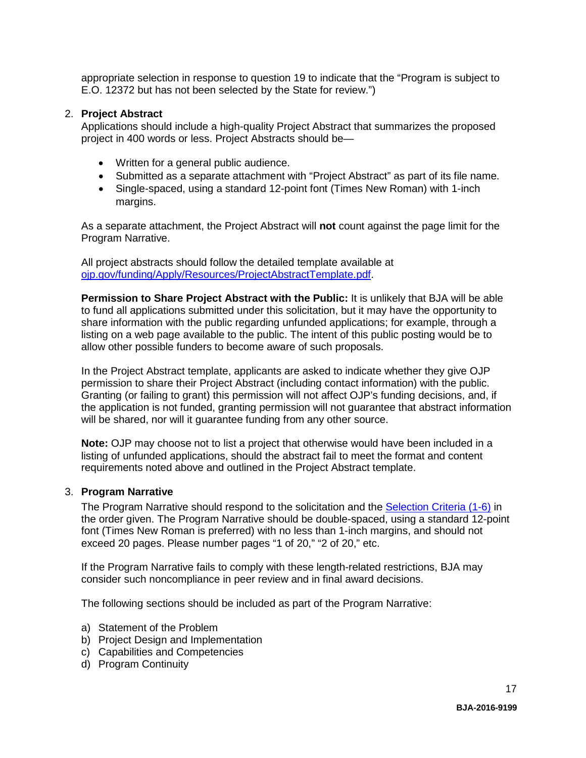appropriate selection in response to question 19 to indicate that the "Program is subject to E.O. 12372 but has not been selected by the State for review.")

#### 2. **Project Abstract**

Applications should include a high-quality Project Abstract that summarizes the proposed project in 400 words or less. Project Abstracts should be—

- Written for a general public audience.
- Submitted as a separate attachment with "Project Abstract" as part of its file name.
- Single-spaced, using a standard 12-point font (Times New Roman) with 1-inch margins.

As a separate attachment, the Project Abstract will **not** count against the page limit for the Program Narrative.

All project abstracts should follow the detailed template available at [ojp.gov/funding/Apply/Resources/ProjectAbstractTemplate.pdf.](http://ojp.gov/funding/Apply/Resources/ProjectAbstractTemplate.pdf)

**Permission to Share Project Abstract with the Public:** It is unlikely that BJA will be able to fund all applications submitted under this solicitation, but it may have the opportunity to share information with the public regarding unfunded applications; for example, through a listing on a web page available to the public. The intent of this public posting would be to allow other possible funders to become aware of such proposals.

In the Project Abstract template, applicants are asked to indicate whether they give OJP permission to share their Project Abstract (including contact information) with the public. Granting (or failing to grant) this permission will not affect OJP's funding decisions, and, if the application is not funded, granting permission will not guarantee that abstract information will be shared, nor will it guarantee funding from any other source.

**Note:** OJP may choose not to list a project that otherwise would have been included in a listing of unfunded applications, should the abstract fail to meet the format and content requirements noted above and outlined in the Project Abstract template.

#### 3. **Program Narrative**

The Program Narrative should respond to the solicitation and the [Selection Criteria \(1-6\)](#page-23-1) in the order given. The Program Narrative should be double-spaced, using a standard 12-point font (Times New Roman is preferred) with no less than 1-inch margins, and should not exceed 20 pages. Please number pages "1 of 20," "2 of 20," etc.

If the Program Narrative fails to comply with these length-related restrictions, BJA may consider such noncompliance in peer review and in final award decisions.

The following sections should be included as part of the Program Narrative:

- a) Statement of the Problem
- b) Project Design and Implementation
- c) Capabilities and Competencies
- d) Program Continuity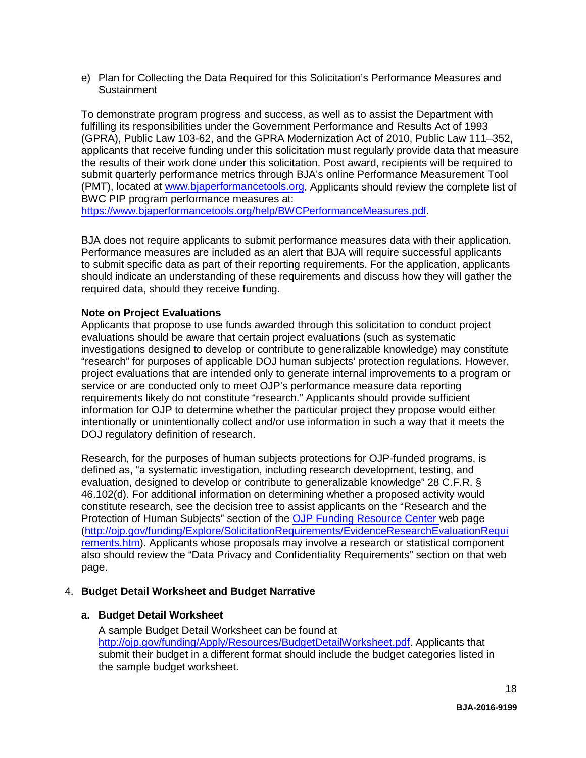e) Plan for Collecting the Data Required for this Solicitation's Performance Measures and **Sustainment** 

To demonstrate program progress and success, as well as to assist the Department with fulfilling its responsibilities under the Government Performance and Results Act of 1993 (GPRA), Public Law 103-62, and the GPRA Modernization Act of 2010, Public Law 111–352, applicants that receive funding under this solicitation must regularly provide data that measure the results of their work done under this solicitation. Post award, recipients will be required to submit quarterly performance metrics through BJA's online Performance Measurement Tool (PMT), located at [www.bjaperformancetools.org.](http://www.bjaperformancetools.org/) Applicants should review the complete list of BWC PIP program performance measures at:

[https://www.bjaperformancetools.org/help/BWCPerformanceMeasures.pdf.](https://www.bjaperformancetools.org/help/BWCPerformanceMeasures.pdf)

BJA does not require applicants to submit performance measures data with their application. Performance measures are included as an alert that BJA will require successful applicants to submit specific data as part of their reporting requirements. For the application, applicants should indicate an understanding of these requirements and discuss how they will gather the required data, should they receive funding.

#### **Note on Project Evaluations**

Applicants that propose to use funds awarded through this solicitation to conduct project evaluations should be aware that certain project evaluations (such as systematic investigations designed to develop or contribute to generalizable knowledge) may constitute "research" for purposes of applicable DOJ human subjects' protection regulations. However, project evaluations that are intended only to generate internal improvements to a program or service or are conducted only to meet OJP's performance measure data reporting requirements likely do not constitute "research." Applicants should provide sufficient information for OJP to determine whether the particular project they propose would either intentionally or unintentionally collect and/or use information in such a way that it meets the DOJ regulatory definition of research.

Research, for the purposes of human subjects protections for OJP-funded programs, is defined as, "a systematic investigation, including research development, testing, and evaluation, designed to develop or contribute to generalizable knowledge" 28 C.F.R. § 46.102(d). For additional information on determining whether a proposed activity would constitute research, see the decision tree to assist applicants on the "Research and the Protection of Human Subjects" section of the [OJP Funding Resource Center w](http://ojp.gov/funding/index.htm)eb page [\(http://ojp.gov/funding/Explore/SolicitationRequirements/EvidenceResearchEvaluationRequi](http://ojp.gov/funding/Explore/SolicitationRequirements/EvidenceResearchEvaluationRequirements.htm) [rements.htm\)](http://ojp.gov/funding/Explore/SolicitationRequirements/EvidenceResearchEvaluationRequirements.htm). Applicants whose proposals may involve a research or statistical component also should review the "Data Privacy and Confidentiality Requirements" section on that web page.

#### 4. **Budget Detail Worksheet and Budget Narrative**

#### **a. Budget Detail Worksheet**

A sample Budget Detail Worksheet can be found at [http://ojp.gov/funding/Apply/Resources/BudgetDetailWorksheet.pdf.](http://ojp.gov/funding/Apply/Resources/BudgetDetailWorksheet.pdf) Applicants that submit their budget in a different format should include the budget categories listed in the sample budget worksheet.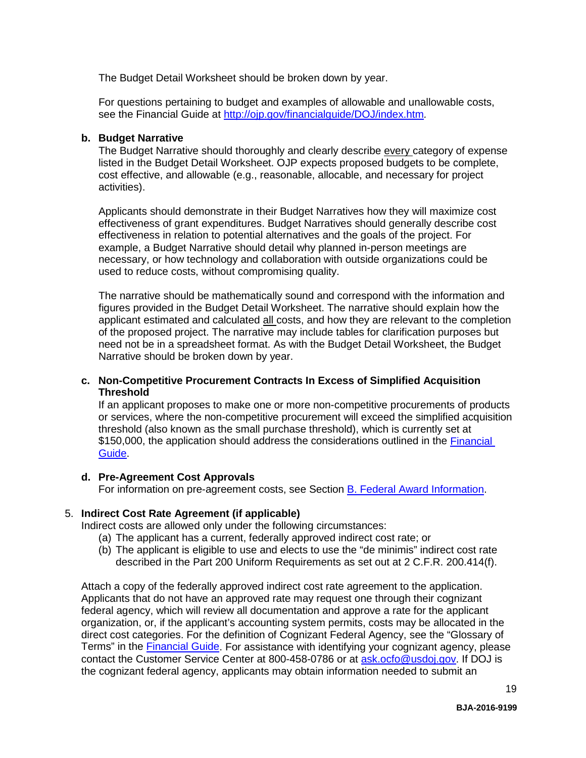The Budget Detail Worksheet should be broken down by year.

For questions pertaining to budget and examples of allowable and unallowable costs, see the Financial Guide at<http://ojp.gov/financialguide/DOJ/index.htm>*.*

#### **b. Budget Narrative**

The Budget Narrative should thoroughly and clearly describe every category of expense listed in the Budget Detail Worksheet. OJP expects proposed budgets to be complete, cost effective, and allowable (e.g., reasonable, allocable, and necessary for project activities).

Applicants should demonstrate in their Budget Narratives how they will maximize cost effectiveness of grant expenditures. Budget Narratives should generally describe cost effectiveness in relation to potential alternatives and the goals of the project. For example, a Budget Narrative should detail why planned in-person meetings are necessary, or how technology and collaboration with outside organizations could be used to reduce costs, without compromising quality.

The narrative should be mathematically sound and correspond with the information and figures provided in the Budget Detail Worksheet. The narrative should explain how the applicant estimated and calculated all costs, and how they are relevant to the completion of the proposed project. The narrative may include tables for clarification purposes but need not be in a spreadsheet format. As with the Budget Detail Worksheet, the Budget Narrative should be broken down by year.

# **c. Non-Competitive Procurement Contracts In Excess of Simplified Acquisition Threshold**

If an applicant proposes to make one or more non-competitive procurements of products or services, where the non-competitive procurement will exceed the simplified acquisition threshold (also known as the small purchase threshold), which is currently set at \$150,000, the application should address the considerations outlined in the [Financial](http://ojp.gov/financialguide/DOJ/index.htm)  [Guide.](http://ojp.gov/financialguide/DOJ/index.htm)

# **d. Pre-Agreement Cost Approvals**

For information on pre-agreement costs, see Section [B. Federal Award Information.](#page-10-0)

# 5. **Indirect Cost Rate Agreement (if applicable)**

Indirect costs are allowed only under the following circumstances:

- (a) The applicant has a current, federally approved indirect cost rate; or
- (b) The applicant is eligible to use and elects to use the "de minimis" indirect cost rate described in the Part 200 Uniform Requirements as set out at 2 C.F.R. 200.414(f).

Attach a copy of the federally approved indirect cost rate agreement to the application. Applicants that do not have an approved rate may request one through their cognizant federal agency, which will review all documentation and approve a rate for the applicant organization, or, if the applicant's accounting system permits, costs may be allocated in the direct cost categories. For the definition of Cognizant Federal Agency, see the "Glossary of Terms" in the [Financial Guide.](http://ojp.gov/financialguide/DOJ/index.htm) For assistance with identifying your cognizant agency, please contact the Customer Service Center at 800-458-0786 or at [ask.ocfo@usdoj.gov.](mailto:ask.ocfo@usdoj.gov) If DOJ is the cognizant federal agency, applicants may obtain information needed to submit an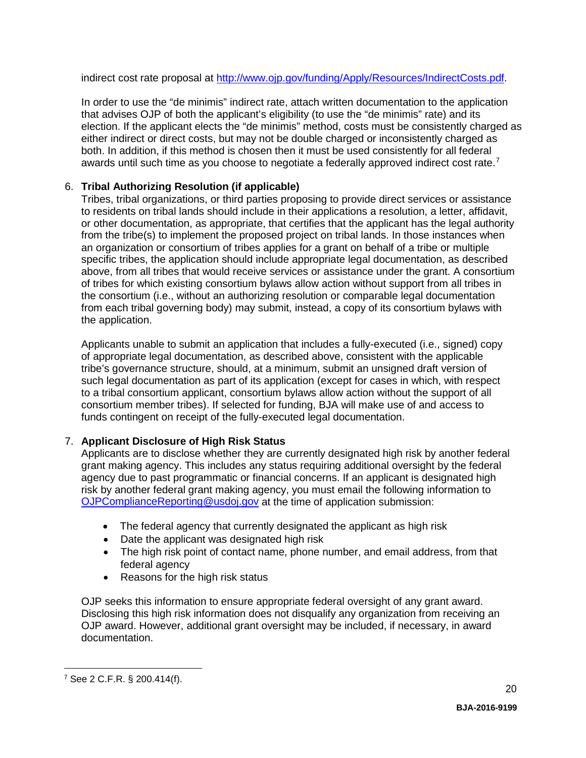indirect cost rate proposal at [http://www.ojp.gov/funding/Apply/Resources/IndirectCosts.pdf.](http://www.ojp.gov/funding/Apply/Resources/IndirectCosts.pdf)

In order to use the "de minimis" indirect rate, attach written documentation to the application that advises OJP of both the applicant's eligibility (to use the "de minimis" rate) and its election. If the applicant elects the "de minimis" method, costs must be consistently charged as either indirect or direct costs, but may not be double charged or inconsistently charged as both. In addition, if this method is chosen then it must be used consistently for all federal awards until such time as you choose to negotiate a federally approved indirect cost rate.<sup>[7](#page-18-0)</sup>

# 6. **Tribal Authorizing Resolution (if applicable)**

Tribes, tribal organizations, or third parties proposing to provide direct services or assistance to residents on tribal lands should include in their applications a resolution, a letter, affidavit, or other documentation, as appropriate, that certifies that the applicant has the legal authority from the tribe(s) to implement the proposed project on tribal lands. In those instances when an organization or consortium of tribes applies for a grant on behalf of a tribe or multiple specific tribes, the application should include appropriate legal documentation, as described above, from all tribes that would receive services or assistance under the grant. A consortium of tribes for which existing consortium bylaws allow action without support from all tribes in the consortium (i.e., without an authorizing resolution or comparable legal documentation from each tribal governing body) may submit, instead, a copy of its consortium bylaws with the application.

Applicants unable to submit an application that includes a fully-executed (i.e., signed) copy of appropriate legal documentation, as described above, consistent with the applicable tribe's governance structure, should, at a minimum, submit an unsigned draft version of such legal documentation as part of its application (except for cases in which, with respect to a tribal consortium applicant, consortium bylaws allow action without the support of all consortium member tribes). If selected for funding, BJA will make use of and access to funds contingent on receipt of the fully-executed legal documentation.

# 7. **Applicant Disclosure of High Risk Status**

Applicants are to disclose whether they are currently designated high risk by another federal grant making agency. This includes any status requiring additional oversight by the federal agency due to past programmatic or financial concerns. If an applicant is designated high risk by another federal grant making agency, you must email the following information to [OJPComplianceReporting@usdoj.gov](mailto:OJPComplianceReporting@usdoj.gov) at the time of application submission:

- The federal agency that currently designated the applicant as high risk
- Date the applicant was designated high risk
- The high risk point of contact name, phone number, and email address, from that federal agency
- Reasons for the high risk status

OJP seeks this information to ensure appropriate federal oversight of any grant award. Disclosing this high risk information does not disqualify any organization from receiving an OJP award. However, additional grant oversight may be included, if necessary, in award documentation.

<span id="page-18-0"></span><sup>7</sup> See 2 C.F.R. § 200.414(f). <u>.</u>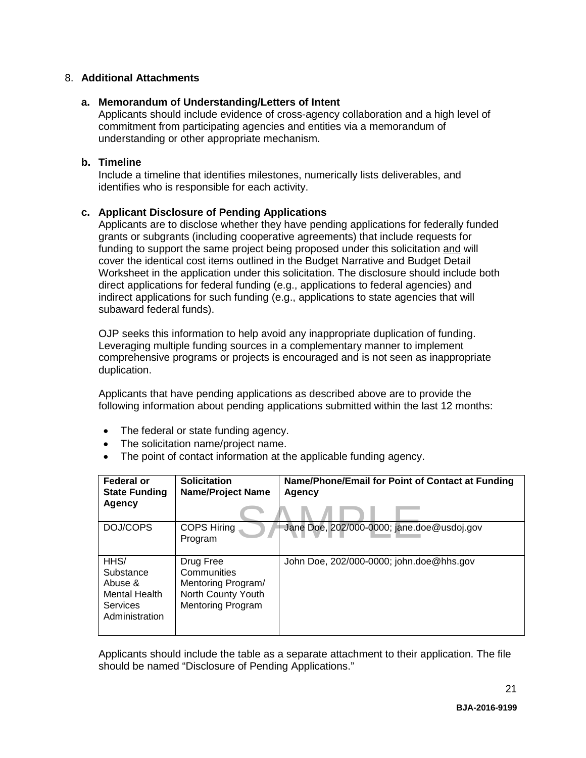# 8. **Additional Attachments**

# **a. Memorandum of Understanding/Letters of Intent**

Applicants should include evidence of cross-agency collaboration and a high level of commitment from participating agencies and entities via a memorandum of understanding or other appropriate mechanism.

# **b. Timeline**

Include a timeline that identifies milestones, numerically lists deliverables, and identifies who is responsible for each activity.

# **c. Applicant Disclosure of Pending Applications**

Applicants are to disclose whether they have pending applications for federally funded grants or subgrants (including cooperative agreements) that include requests for funding to support the same project being proposed under this solicitation and will cover the identical cost items outlined in the Budget Narrative and Budget Detail Worksheet in the application under this solicitation. The disclosure should include both direct applications for federal funding (e.g., applications to federal agencies) and indirect applications for such funding (e.g., applications to state agencies that will subaward federal funds).

OJP seeks this information to help avoid any inappropriate duplication of funding. Leveraging multiple funding sources in a complementary manner to implement comprehensive programs or projects is encouraged and is not seen as inappropriate duplication.

Applicants that have pending applications as described above are to provide the following information about pending applications submitted within the last 12 months:

- The federal or state funding agency.
- The solicitation name/project name.
- The point of contact information at the applicable funding agency.

| Federal or<br><b>State Funding</b><br>Agency                                                    | <b>Solicitation</b><br><b>Name/Project Name</b>                                                  | Name/Phone/Email for Point of Contact at Funding<br>Agency |
|-------------------------------------------------------------------------------------------------|--------------------------------------------------------------------------------------------------|------------------------------------------------------------|
| DOJ/COPS                                                                                        | <b>COPS Hiring</b><br>Program                                                                    | Jane Doe, 202/000-0000; jane.doe@usdoj.gov                 |
| HH <sub>S</sub> /<br>Substance<br>Abuse &<br><b>Mental Health</b><br>Services<br>Administration | Drug Free<br>Communities<br>Mentoring Program/<br>North County Youth<br><b>Mentoring Program</b> | John Doe, 202/000-0000; john.doe@hhs.gov                   |

Applicants should include the table as a separate attachment to their application. The file should be named "Disclosure of Pending Applications."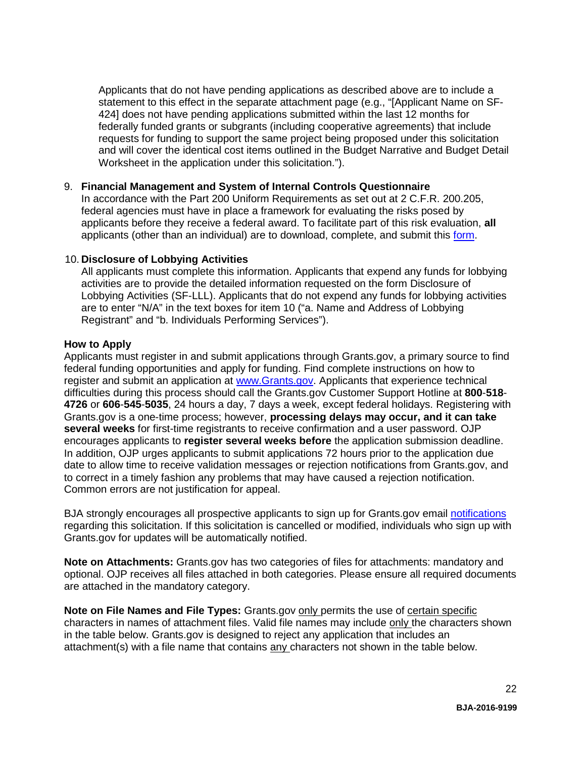Applicants that do not have pending applications as described above are to include a statement to this effect in the separate attachment page (e.g., "[Applicant Name on SF-424] does not have pending applications submitted within the last 12 months for federally funded grants or subgrants (including cooperative agreements) that include requests for funding to support the same project being proposed under this solicitation and will cover the identical cost items outlined in the Budget Narrative and Budget Detail Worksheet in the application under this solicitation.").

# 9. **Financial Management and System of Internal Controls Questionnaire**

In accordance with the Part 200 Uniform Requirements as set out at 2 C.F.R. 200.205, federal agencies must have in place a framework for evaluating the risks posed by applicants before they receive a federal award. To facilitate part of this risk evaluation, **all**  applicants (other than an individual) are to download, complete, and submit this [form.](http://ojp.gov/funding/Apply/Resources/FinancialCapability.pdf)

#### 10. **Disclosure of Lobbying Activities**

All applicants must complete this information. Applicants that expend any funds for lobbying activities are to provide the detailed information requested on the form Disclosure of Lobbying Activities (SF-LLL). Applicants that do not expend any funds for lobbying activities are to enter "N/A" in the text boxes for item 10 ("a. Name and Address of Lobbying Registrant" and "b. Individuals Performing Services").

#### <span id="page-20-0"></span>**How to Apply**

Applicants must register in and submit applications through Grants.gov, a primary source to find federal funding opportunities and apply for funding. Find complete instructions on how to register and submit an application at [www.Grants.gov.](http://www.grants.gov/) Applicants that experience technical difficulties during this process should call the Grants.gov Customer Support Hotline at **800**-**518**- **4726** or **606**-**545**-**5035**, 24 hours a day, 7 days a week, except federal holidays. Registering with Grants.gov is a one-time process; however, **processing delays may occur, and it can take several weeks** for first-time registrants to receive confirmation and a user password. OJP encourages applicants to **register several weeks before** the application submission deadline. In addition, OJP urges applicants to submit applications 72 hours prior to the application due date to allow time to receive validation messages or rejection notifications from Grants.gov, and to correct in a timely fashion any problems that may have caused a rejection notification. Common errors are not justification for appeal.

BJA strongly encourages all prospective applicants to sign up for Grants.gov email [notifications](http://www.grants.gov/web/grants/manage-subscriptions.html) regarding this solicitation. If this solicitation is cancelled or modified, individuals who sign up with Grants.gov for updates will be automatically notified.

**Note on Attachments:** Grants.gov has two categories of files for attachments: mandatory and optional. OJP receives all files attached in both categories. Please ensure all required documents are attached in the mandatory category.

**Note on File Names and File Types:** Grants.gov only permits the use of certain specific characters in names of attachment files. Valid file names may include only the characters shown in the table below. Grants.gov is designed to reject any application that includes an attachment(s) with a file name that contains any characters not shown in the table below.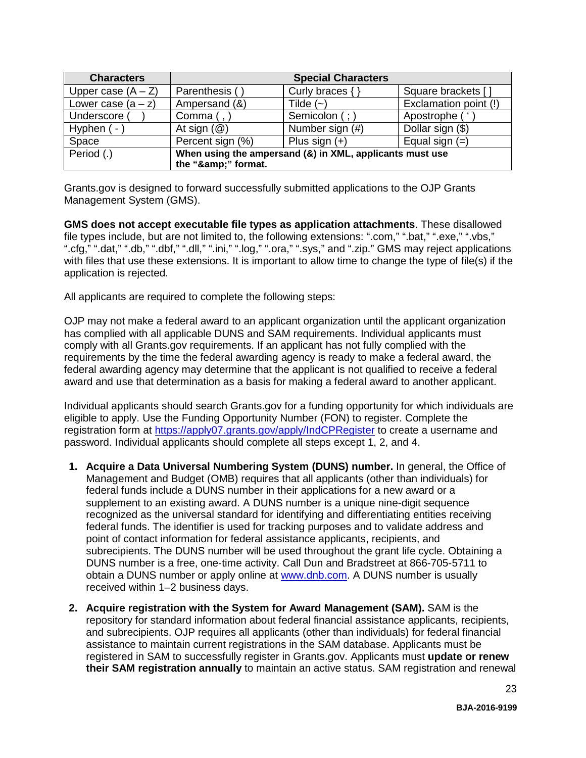| <b>Characters</b>    |                                                          | <b>Special Characters</b> |                       |
|----------------------|----------------------------------------------------------|---------------------------|-----------------------|
| Upper case $(A - Z)$ | Parenthesis ()                                           | Curly braces $\{\}$       | Square brackets []    |
| Lower case $(a - z)$ | Ampersand (&)                                            | Tilde $(-)$               | Exclamation point (!) |
| Underscore (         | Comma $($ , $)$                                          | Semicolon (; )            | Apostrophe ('         |
| Hyphen $(-)$         | At sign $(\mathcal{Q})$                                  | Number sign (#)           | Dollar sign (\$)      |
| Space                | Percent sign (%)                                         | Plus sign $(+)$           | Equal sign $(=)$      |
| Period (.)           | When using the ampersand (&) in XML, applicants must use |                           |                       |
|                      | the "&" format.                                          |                           |                       |

Grants.gov is designed to forward successfully submitted applications to the OJP Grants Management System (GMS).

**GMS does not accept executable file types as application attachments**. These disallowed file types include, but are not limited to, the following extensions: ".com," ".bat," ".exe," ".vbs," ".cfg," ".dat," ".db," ".dbf," ".dll," ".ini," ".log," ".ora," ".sys," and ".zip." GMS may reject applications with files that use these extensions. It is important to allow time to change the type of file(s) if the application is rejected.

All applicants are required to complete the following steps:

OJP may not make a federal award to an applicant organization until the applicant organization has complied with all applicable DUNS and SAM requirements. Individual applicants must comply with all Grants.gov requirements. If an applicant has not fully complied with the requirements by the time the federal awarding agency is ready to make a federal award, the federal awarding agency may determine that the applicant is not qualified to receive a federal award and use that determination as a basis for making a federal award to another applicant.

Individual applicants should search Grants.gov for a funding opportunity for which individuals are eligible to apply. Use the Funding Opportunity Number (FON) to register. Complete the registration form at<https://apply07.grants.gov/apply/IndCPRegister> to create a username and password. Individual applicants should complete all steps except 1, 2, and 4.

- **1. Acquire a Data Universal Numbering System (DUNS) number.** In general, the Office of Management and Budget (OMB) requires that all applicants (other than individuals) for federal funds include a DUNS number in their applications for a new award or a supplement to an existing award. A DUNS number is a unique nine-digit sequence recognized as the universal standard for identifying and differentiating entities receiving federal funds. The identifier is used for tracking purposes and to validate address and point of contact information for federal assistance applicants, recipients, and subrecipients. The DUNS number will be used throughout the grant life cycle. Obtaining a DUNS number is a free, one-time activity. Call Dun and Bradstreet at 866-705-5711 to obtain a DUNS number or apply online at [www.dnb.com.](http://www.dnb.com/) A DUNS number is usually received within 1–2 business days.
- **2. Acquire registration with the System for Award Management (SAM).** SAM is the repository for standard information about federal financial assistance applicants, recipients, and subrecipients. OJP requires all applicants (other than individuals) for federal financial assistance to maintain current registrations in the SAM database. Applicants must be registered in SAM to successfully register in Grants.gov. Applicants must **update or renew their SAM registration annually** to maintain an active status. SAM registration and renewal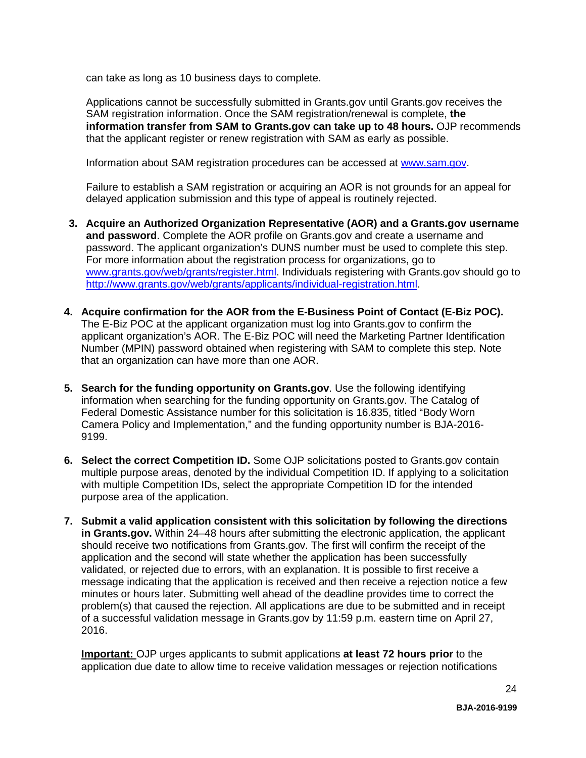can take as long as 10 business days to complete.

Applications cannot be successfully submitted in Grants.gov until Grants.gov receives the SAM registration information. Once the SAM registration/renewal is complete, **the information transfer from SAM to Grants.gov can take up to 48 hours.** OJP recommends that the applicant register or renew registration with SAM as early as possible.

Information about SAM registration procedures can be accessed at [www.sam.gov.](https://www.sam.gov/portal/public/SAM/?portal:componentId=1f834b82-3fed-4eb3-a1f8-ea1f226a7955&portal:type=action&interactionstate=JBPNS_rO0ABXc0ABBfanNmQnJpZGdlVmlld0lkAAAAAQATL2pzZi9uYXZpZ2F0aW9uLmpzcAAHX19FT0ZfXw**)

Failure to establish a SAM registration or acquiring an AOR is not grounds for an appeal for delayed application submission and this type of appeal is routinely rejected.

- **3. Acquire an Authorized Organization Representative (AOR) and a Grants.gov username and password**. Complete the AOR profile on Grants.gov and create a username and password. The applicant organization's DUNS number must be used to complete this step. For more information about the registration process for organizations, go to [www.grants.gov/web/grants/register.html.](http://www.grants.gov/web/grants/register.html) Individuals registering with Grants.gov should go to [http://www.grants.gov/web/grants/applicants/individual-registration.html.](http://www.grants.gov/web/grants/applicants/individual-registration.html)
- **4. Acquire confirmation for the AOR from the E-Business Point of Contact (E-Biz POC).**  The E-Biz POC at the applicant organization must log into Grants.gov to confirm the applicant organization's AOR. The E-Biz POC will need the Marketing Partner Identification Number (MPIN) password obtained when registering with SAM to complete this step. Note that an organization can have more than one AOR.
- **5. Search for the funding opportunity on Grants.gov**. Use the following identifying information when searching for the funding opportunity on Grants.gov. The Catalog of Federal Domestic Assistance number for this solicitation is 16.835, titled "Body Worn Camera Policy and Implementation," and the funding opportunity number is BJA-2016- 9199.
- **6. Select the correct Competition ID.** Some OJP solicitations posted to Grants.gov contain multiple purpose areas, denoted by the individual Competition ID. If applying to a solicitation with multiple Competition IDs, select the appropriate Competition ID for the intended purpose area of the application.
- **7. Submit a valid application consistent with this solicitation by following the directions in Grants.gov.** Within 24–48 hours after submitting the electronic application, the applicant should receive two notifications from Grants.gov. The first will confirm the receipt of the application and the second will state whether the application has been successfully validated, or rejected due to errors, with an explanation. It is possible to first receive a message indicating that the application is received and then receive a rejection notice a few minutes or hours later. Submitting well ahead of the deadline provides time to correct the problem(s) that caused the rejection. All applications are due to be submitted and in receipt of a successful validation message in Grants.gov by 11:59 p.m. eastern time on April 27, 2016.

**Important:** OJP urges applicants to submit applications **at least 72 hours prior** to the application due date to allow time to receive validation messages or rejection notifications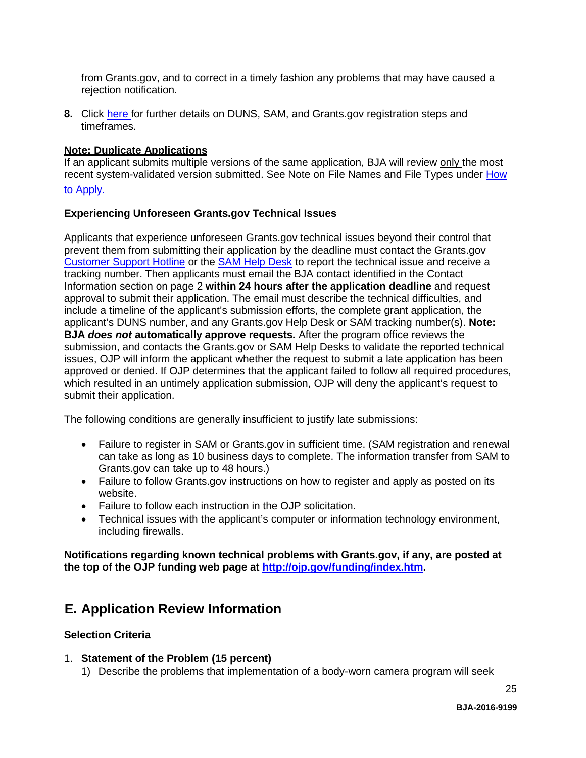from Grants.gov, and to correct in a timely fashion any problems that may have caused a rejection notification.

**8.** Click [here f](http://www.grants.gov/web/grants/applicants/organization-registration.html)or further details on DUNS, SAM, and Grants.gov registration steps and timeframes.

#### **Note: Duplicate Applications**

If an applicant submits multiple versions of the same application, BJA will review only the most recent system-validated version submitted. See Note on File Names and File Types under [How](#page-20-0)

# [to Apply.](#page-20-0)

#### **Experiencing Unforeseen Grants.gov Technical Issues**

Applicants that experience unforeseen Grants.gov technical issues beyond their control that prevent them from submitting their application by the deadline must contact the Grants.gov [Customer Support Hotline](http://www.grants.gov/web/grants/about/contact-us.html) or the [SAM Help Desk](https://www.fsd.gov/fsd-gov/home.do) to report the technical issue and receive a tracking number. Then applicants must email the BJA contact identified in the Contact Information section on page 2 **within 24 hours after the application deadline** and request approval to submit their application. The email must describe the technical difficulties, and include a timeline of the applicant's submission efforts, the complete grant application, the applicant's DUNS number, and any Grants.gov Help Desk or SAM tracking number(s). **Note: BJA** *does not* **automatically approve requests***.* After the program office reviews the submission, and contacts the Grants.gov or SAM Help Desks to validate the reported technical issues, OJP will inform the applicant whether the request to submit a late application has been approved or denied. If OJP determines that the applicant failed to follow all required procedures, which resulted in an untimely application submission, OJP will deny the applicant's request to submit their application.

The following conditions are generally insufficient to justify late submissions:

- Failure to register in SAM or Grants.gov in sufficient time. (SAM registration and renewal can take as long as 10 business days to complete. The information transfer from SAM to Grants.gov can take up to 48 hours.)
- Failure to follow Grants.gov instructions on how to register and apply as posted on its website.
- Failure to follow each instruction in the OJP solicitation.
- Technical issues with the applicant's computer or information technology environment, including firewalls.

**Notifications regarding known technical problems with Grants.gov, if any, are posted at the top of the OJP funding web page at [http://ojp.gov/funding/index.htm.](http://ojp.gov/funding/index.htm)**

# <span id="page-23-0"></span>**E. Application Review Information**

#### <span id="page-23-1"></span>**Selection Criteria**

#### 1. **Statement of the Problem (15 percent)**

1) Describe the problems that implementation of a body-worn camera program will seek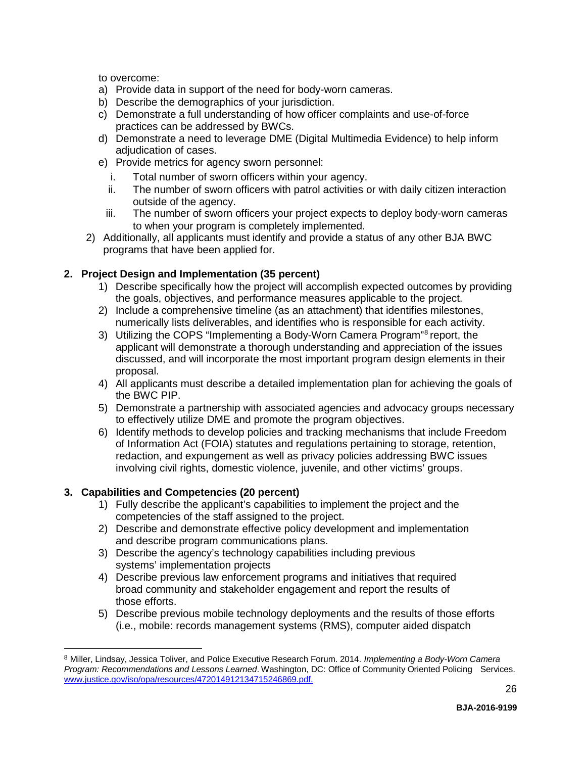to overcome:

- a) Provide data in support of the need for body-worn cameras.
- b) Describe the demographics of your jurisdiction.
- c) Demonstrate a full understanding of how officer complaints and use-of-force practices can be addressed by BWCs.
- d) Demonstrate a need to leverage DME (Digital Multimedia Evidence) to help inform adjudication of cases.
- e) Provide metrics for agency sworn personnel:
	- i. Total number of sworn officers within your agency.
	- ii. The number of sworn officers with patrol activities or with daily citizen interaction outside of the agency.
	- iii. The number of sworn officers your project expects to deploy body-worn cameras to when your program is completely implemented.
- 2) Additionally, all applicants must identify and provide a status of any other BJA BWC programs that have been applied for.

# **2. Project Design and Implementation (35 percent)**

- 1) Describe specifically how the project will accomplish expected outcomes by providing the goals, objectives, and performance measures applicable to the project.
- 2) Include a comprehensive timeline (as an attachment) that identifies milestones, numerically lists deliverables, and identifies who is responsible for each activity.
- 3) Utilizing the COPS "Implementing a Body-Worn Camera Program"[8](#page-24-0) report, the applicant will demonstrate a thorough understanding and appreciation of the issues discussed, and will incorporate the most important program design elements in their proposal.
- 4) All applicants must describe a detailed implementation plan for achieving the goals of the BWC PIP.
- 5) Demonstrate a partnership with associated agencies and advocacy groups necessary to effectively utilize DME and promote the program objectives.
- 6) Identify methods to develop policies and tracking mechanisms that include Freedom of Information Act (FOIA) statutes and regulations pertaining to storage, retention, redaction, and expungement as well as privacy policies addressing BWC issues involving civil rights, domestic violence, juvenile, and other victims' groups.

# **3. Capabilities and Competencies (20 percent)**

<u>.</u>

- 1) Fully describe the applicant's capabilities to implement the project and the competencies of the staff assigned to the project.
- 2) Describe and demonstrate effective policy development and implementation and describe program communications plans.
- 3) Describe the agency's technology capabilities including previous systems' implementation projects
- 4) Describe previous law enforcement programs and initiatives that required broad community and stakeholder engagement and report the results of those efforts.
- 5) Describe previous mobile technology deployments and the results of those efforts (i.e., mobile: records management systems (RMS), computer aided dispatch

<span id="page-24-0"></span><sup>8</sup> Miller, Lindsay, Jessica Toliver, and Police Executive Research Forum. 2014. *Implementing a Body-Worn Camera Program: Recommendations and Lessons Learned*. Washington, DC: Office of Community Oriented Policing Services. [www.justice.gov/iso/opa/resources/472014912134715246869.pdf.](http://www.justice.gov/iso/opa/resources/472014912134715246869.pdf)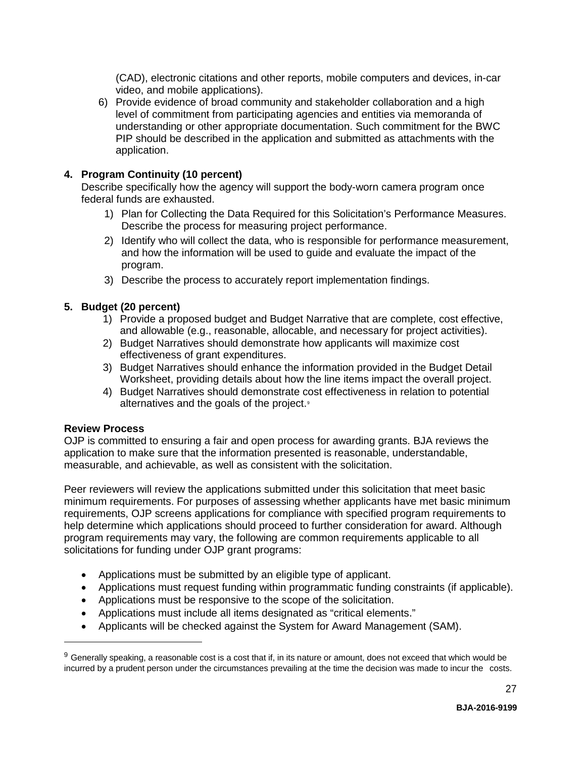(CAD), electronic citations and other reports, mobile computers and devices, in-car video, and mobile applications).

6) Provide evidence of broad community and stakeholder collaboration and a high level of commitment from participating agencies and entities via memoranda of understanding or other appropriate documentation. Such commitment for the BWC PIP should be described in the application and submitted as attachments with the application.

#### **4. Program Continuity (10 percent)**

Describe specifically how the agency will support the body-worn camera program once federal funds are exhausted.

- 1) Plan for Collecting the Data Required for this Solicitation's Performance Measures. Describe the process for measuring project performance.
- 2) Identify who will collect the data, who is responsible for performance measurement, and how the information will be used to guide and evaluate the impact of the program.
- 3) Describe the process to accurately report implementation findings.

#### **5. Budget (20 percent)**

- 1) Provide a proposed budget and Budget Narrative that are complete, cost effective, and allowable (e.g., reasonable, allocable, and necessary for project activities).
- 2) Budget Narratives should demonstrate how applicants will maximize cost effectiveness of grant expenditures.
- 3) Budget Narratives should enhance the information provided in the Budget Detail Worksheet, providing details about how the line items impact the overall project.
- 4) Budget Narratives should demonstrate cost effectiveness in relation to potential alternatives and the goals of the project.<sup>[9](#page-25-1)</sup>

#### <span id="page-25-0"></span>**Review Process**

-

OJP is committed to ensuring a fair and open process for awarding grants. BJA reviews the application to make sure that the information presented is reasonable, understandable, measurable, and achievable, as well as consistent with the solicitation.

Peer reviewers will review the applications submitted under this solicitation that meet basic minimum requirements. For purposes of assessing whether applicants have met basic minimum requirements, OJP screens applications for compliance with specified program requirements to help determine which applications should proceed to further consideration for award. Although program requirements may vary, the following are common requirements applicable to all solicitations for funding under OJP grant programs:

- Applications must be submitted by an eligible type of applicant.
- Applications must request funding within programmatic funding constraints (if applicable).
- Applications must be responsive to the scope of the solicitation.
- Applications must include all items designated as "critical elements."
- Applicants will be checked against the System for Award Management (SAM).

<span id="page-25-1"></span> $9$  Generally speaking, a reasonable cost is a cost that if, in its nature or amount, does not exceed that which would be incurred by a prudent person under the circumstances prevailing at the time the decision was made to incur the costs.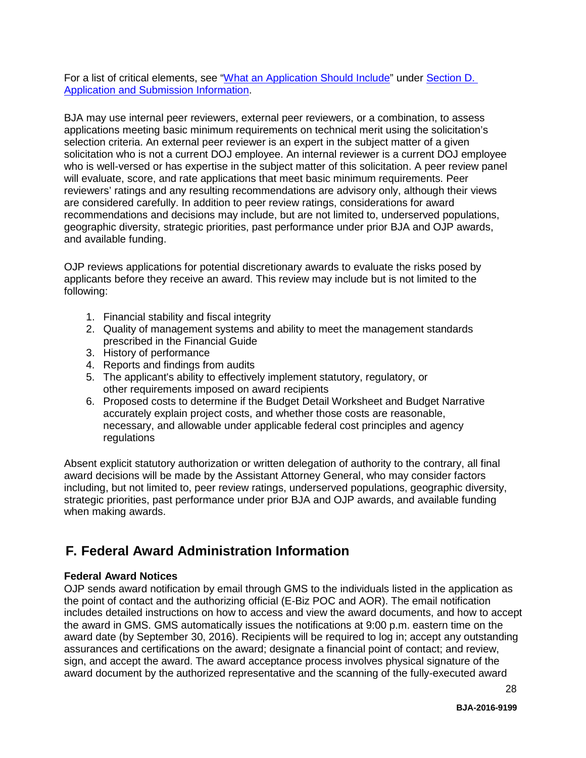For a list of critical elements, see ["What an Application Should Include"](#page-14-2) under [Section D.](#page-14-1)  [Application and Submission Information.](#page-14-1)

BJA may use internal peer reviewers, external peer reviewers, or a combination, to assess applications meeting basic minimum requirements on technical merit using the solicitation's selection criteria. An external peer reviewer is an expert in the subject matter of a given solicitation who is not a current DOJ employee. An internal reviewer is a current DOJ employee who is well-versed or has expertise in the subject matter of this solicitation. A peer review panel will evaluate, score, and rate applications that meet basic minimum requirements. Peer reviewers' ratings and any resulting recommendations are advisory only, although their views are considered carefully. In addition to peer review ratings, considerations for award recommendations and decisions may include, but are not limited to, underserved populations, geographic diversity, strategic priorities, past performance under prior BJA and OJP awards, and available funding.

OJP reviews applications for potential discretionary awards to evaluate the risks posed by applicants before they receive an award. This review may include but is not limited to the following:

- 1. Financial stability and fiscal integrity
- 2. Quality of management systems and ability to meet the management standards prescribed in the Financial Guide
- 3. History of performance
- 4. Reports and findings from audits
- 5. The applicant's ability to effectively implement statutory, regulatory, or other requirements imposed on award recipients
- 6. Proposed costs to determine if the Budget Detail Worksheet and Budget Narrative accurately explain project costs, and whether those costs are reasonable, necessary, and allowable under applicable federal cost principles and agency regulations

Absent explicit statutory authorization or written delegation of authority to the contrary, all final award decisions will be made by the Assistant Attorney General, who may consider factors including, but not limited to, peer review ratings, underserved populations, geographic diversity, strategic priorities, past performance under prior BJA and OJP awards, and available funding when making awards.

# <span id="page-26-0"></span>**F. Federal Award Administration Information**

#### <span id="page-26-1"></span>**Federal Award Notices**

OJP sends award notification by email through GMS to the individuals listed in the application as the point of contact and the authorizing official (E-Biz POC and AOR). The email notification includes detailed instructions on how to access and view the award documents, and how to accept the award in GMS. GMS automatically issues the notifications at 9:00 p.m. eastern time on the award date (by September 30, 2016). Recipients will be required to log in; accept any outstanding assurances and certifications on the award; designate a financial point of contact; and review, sign, and accept the award. The award acceptance process involves physical signature of the award document by the authorized representative and the scanning of the fully-executed award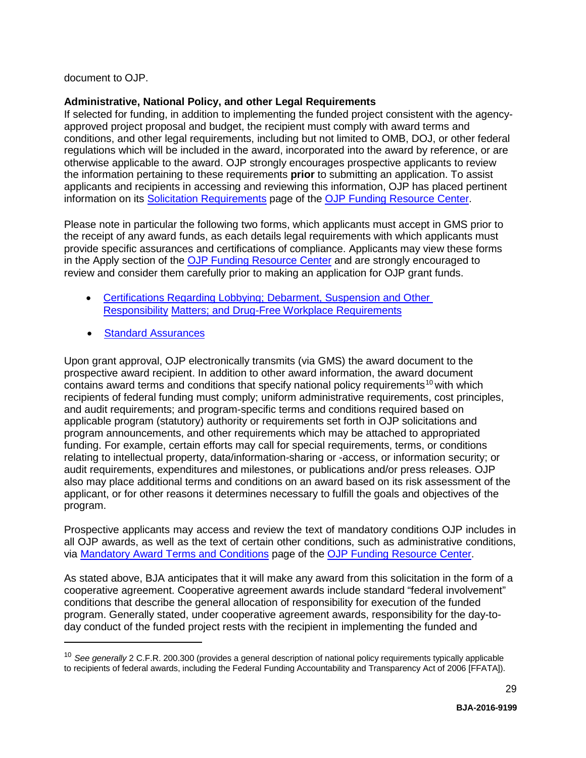document to OJP.

# <span id="page-27-0"></span>**Administrative, National Policy, and other Legal Requirements**

If selected for funding, in addition to implementing the funded project consistent with the agencyapproved project proposal and budget, the recipient must comply with award terms and conditions, and other legal requirements, including but not limited to OMB, DOJ, or other federal regulations which will be included in the award, incorporated into the award by reference, or are otherwise applicable to the award. OJP strongly encourages prospective applicants to review the information pertaining to these requirements **prior** to submitting an application. To assist applicants and recipients in accessing and reviewing this information, OJP has placed pertinent information on its [Solicitation Requirements](http://ojp.gov/funding/Explore/SolicitationRequirements/index.htm) page of the [OJP Funding Resource Center.](http://ojp.gov/funding/index.htm)

Please note in particular the following two forms, which applicants must accept in GMS prior to the receipt of any award funds, as each details legal requirements with which applicants must provide specific assurances and certifications of compliance. Applicants may view these forms in the Apply section of the [OJP Funding Resource Center](http://ojp.gov/funding/index.htm) and are strongly encouraged to review and consider them carefully prior to making an application for OJP grant funds.

- [Certifications Regarding Lobbying; Debarment, Suspension and Other](http://ojp.gov/funding/Apply/Forms.htm)  [Responsibility](http://ojp.gov/funding/Apply/Forms.htm) [Matters; and Drug-Free Workplace Requirements](http://ojp.gov/funding/Apply/Forms.htm)
- [Standard Assurances](http://ojp.gov/funding/Apply/Forms.htm)

<u>.</u>

Upon grant approval, OJP electronically transmits (via GMS) the award document to the prospective award recipient. In addition to other award information, the award document contains award terms and conditions that specify national policy requirements<sup>[10](#page-27-1)</sup> with which recipients of federal funding must comply; uniform administrative requirements, cost principles, and audit requirements; and program-specific terms and conditions required based on applicable program (statutory) authority or requirements set forth in OJP solicitations and program announcements, and other requirements which may be attached to appropriated funding. For example, certain efforts may call for special requirements, terms, or conditions relating to intellectual property, data/information-sharing or -access, or information security; or audit requirements, expenditures and milestones, or publications and/or press releases. OJP also may place additional terms and conditions on an award based on its risk assessment of the applicant, or for other reasons it determines necessary to fulfill the goals and objectives of the program.

Prospective applicants may access and review the text of mandatory conditions OJP includes in all OJP awards, as well as the text of certain other conditions, such as administrative conditions, via [Mandatory Award Terms and Conditions](http://ojp.gov/funding/Explore/SolicitationRequirements/MandatoryTermsConditions.htm) page of the [OJP Funding Resource Center.](http://ojp.gov/funding/index.htm)

As stated above, BJA anticipates that it will make any award from this solicitation in the form of a cooperative agreement. Cooperative agreement awards include standard "federal involvement" conditions that describe the general allocation of responsibility for execution of the funded program. Generally stated, under cooperative agreement awards, responsibility for the day-today conduct of the funded project rests with the recipient in implementing the funded and

<span id="page-27-1"></span><sup>10</sup> *See generally* 2 C.F.R. 200.300 (provides a general description of national policy requirements typically applicable to recipients of federal awards, including the Federal Funding Accountability and Transparency Act of 2006 [FFATA]).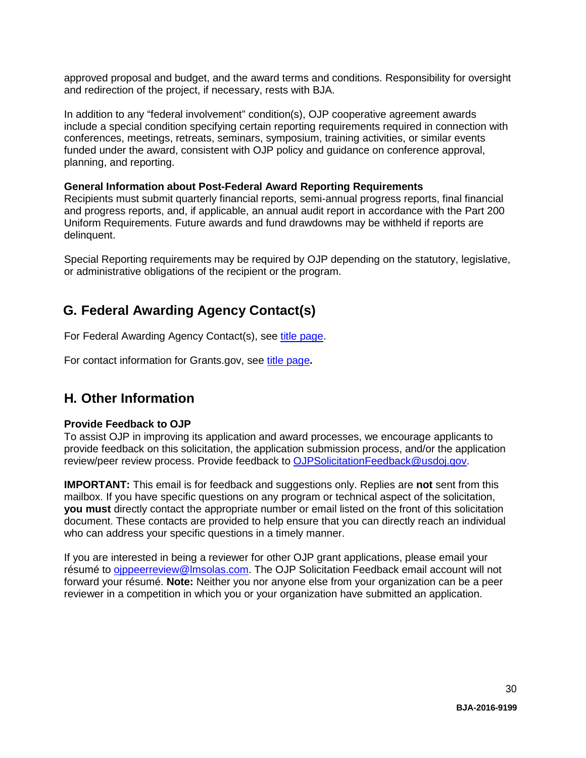approved proposal and budget, and the award terms and conditions. Responsibility for oversight and redirection of the project, if necessary, rests with BJA.

In addition to any "federal involvement" condition(s), OJP cooperative agreement awards include a special condition specifying certain reporting requirements required in connection with conferences, meetings, retreats, seminars, symposium, training activities, or similar events funded under the award, consistent with OJP policy and guidance on conference approval, planning, and reporting.

#### <span id="page-28-0"></span>**General Information about Post-Federal Award Reporting Requirements**

Recipients must submit quarterly financial reports, semi-annual progress reports, final financial and progress reports, and, if applicable, an annual audit report in accordance with the Part 200 Uniform Requirements. Future awards and fund drawdowns may be withheld if reports are delinquent.

Special Reporting requirements may be required by OJP depending on the statutory, legislative, or administrative obligations of the recipient or the program.

# <span id="page-28-1"></span>**G. Federal Awarding Agency Contact(s)**

For Federal Awarding Agency Contact(s), see [title page.](#page-0-0)

For contact information for Grants.gov, see [title page](#page-0-0)**.**

# <span id="page-28-2"></span>**H. Other Information**

#### <span id="page-28-3"></span>**Provide Feedback to OJP**

To assist OJP in improving its application and award processes, we encourage applicants to provide feedback on this solicitation, the application submission process, and/or the application review/peer review process. Provide feedback to [OJPSolicitationFeedback@usdoj.gov.](mailto:OJPSolicitationFeedback@usdoj.gov)

**IMPORTANT:** This email is for feedback and suggestions only. Replies are **not** sent from this mailbox. If you have specific questions on any program or technical aspect of the solicitation, **you must** directly contact the appropriate number or email listed on the front of this solicitation document. These contacts are provided to help ensure that you can directly reach an individual who can address your specific questions in a timely manner.

If you are interested in being a reviewer for other OJP grant applications, please email your résumé to [ojppeerreview@lmsolas.com.](mailto:ojppeerreview@lmsolas.com) The OJP Solicitation Feedback email account will not forward your résumé. **Note:** Neither you nor anyone else from your organization can be a peer reviewer in a competition in which you or your organization have submitted an application.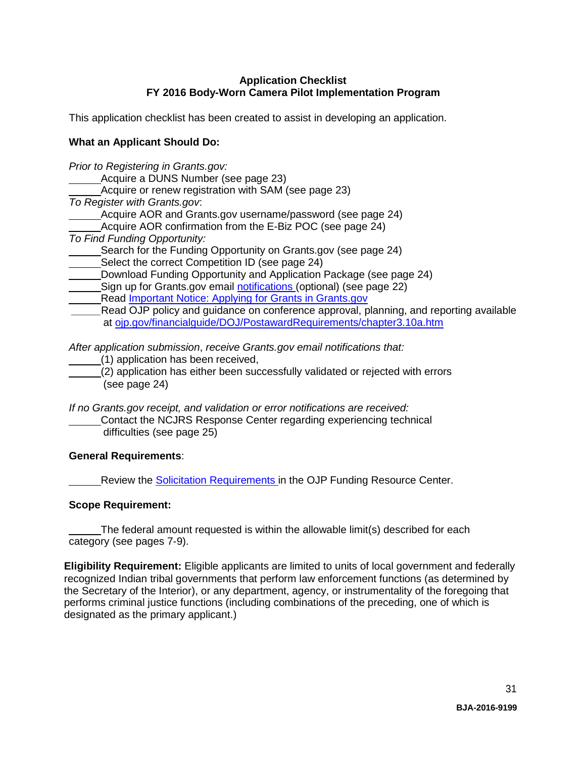# **Application Checklist FY 2016 Body-Worn Camera Pilot Implementation Program**

<span id="page-29-0"></span>This application checklist has been created to assist in developing an application.

# **What an Applicant Should Do:**

*Prior to Registering in Grants.gov:*

Acquire a DUNS Number (see page 23)

Acquire or renew registration with SAM (see page 23)

*To Register with Grants.gov*:

Acquire AOR and Grants.gov username/password (see page 24)

Acquire AOR confirmation from the E-Biz POC (see page 24)

*To Find Funding Opportunity:*

Search for the Funding Opportunity on Grants.gov (see page 24)

- Select the correct Competition ID (see page 24)
- Download Funding Opportunity and Application Package (see page 24)

Sign up for Grants.gov email [notifications \(](http://www.grants.gov/web/grants/manage-subscriptions.html)optional) (see page 22)

Read [Important Notice: Applying for Grants in Grants.gov](http://ojp.gov/funding/Apply/Grants-govInfo.htm)

Read OJP policy and guidance on conference approval, planning, and reporting available at [ojp.gov/financialguide/DOJ/PostawardRequirements/chapter3.10a.htm](http://ojp.gov/financialguide/DOJ/PostawardRequirements/chapter3.10a.htm)

*After application submission*, *receive Grants.gov email notifications that:*

(1) application has been received,

(2) application has either been successfully validated or rejected with errors (see page 24)

*If no Grants.gov receipt, and validation or error notifications are received:*

Contact the NCJRS Response Center regarding experiencing technical difficulties (see page 25)

# **General Requirements**:

Review the [Solicitation Requirements i](http://ojp.gov/funding/Explore/SolicitationRequirements/index.htm)n the OJP Funding Resource Center.

# **Scope Requirement:**

The federal amount requested is within the allowable limit(s) described for each category (see pages 7-9).

**Eligibility Requirement:** Eligible applicants are limited to units of local government and federally recognized Indian tribal governments that perform law enforcement functions (as determined by the Secretary of the Interior), or any department, agency, or instrumentality of the foregoing that performs criminal justice functions (including combinations of the preceding, one of which is designated as the primary applicant.)